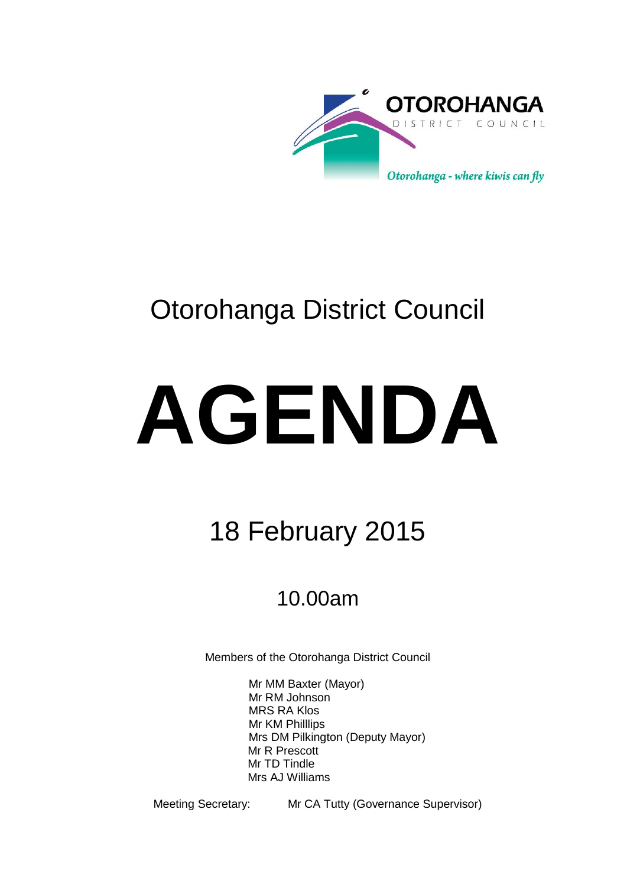

# Otorohanga District Council

# **AGENDA**

# 18 February 2015

# 10.00am

Members of the Otorohanga District Council

Mr MM Baxter (Mayor) Mr RM Johnson MRS RA Klos Mr KM Philllips Mrs DM Pilkington (Deputy Mayor) Mr R Prescott Mr TD Tindle Mrs AJ Williams

Meeting Secretary: Mr CA Tutty (Governance Supervisor)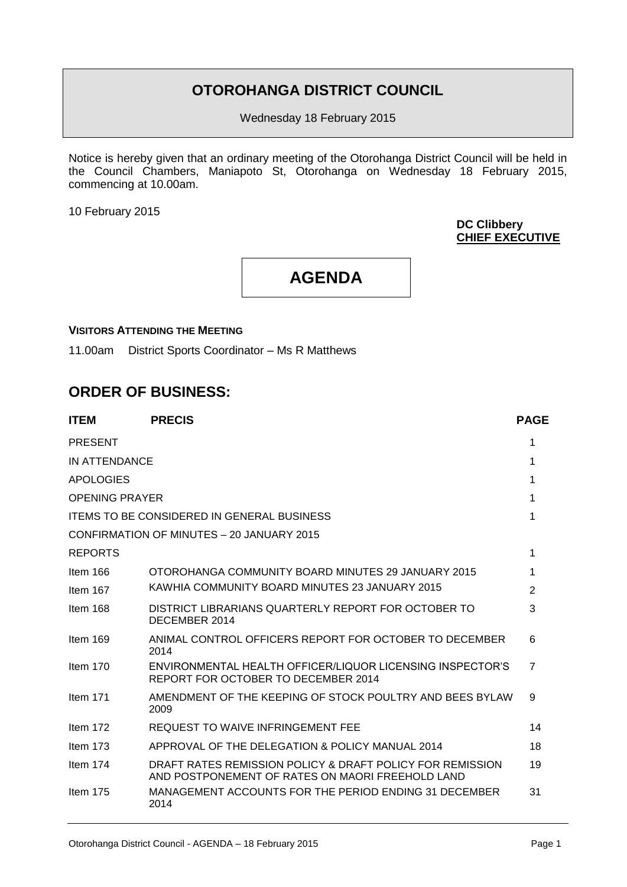# **OTOROHANGA DISTRICT COUNCIL**

Wednesday 18 February 2015

Notice is hereby given that an ordinary meeting of the Otorohanga District Council will be held in the Council Chambers, Maniapoto St, Otorohanga on Wednesday 18 February 2015, commencing at 10.00am.

10 February 2015

**DC Clibbery CHIEF EXECUTIVE**

**AGENDA**

# **VISITORS ATTENDING THE MEETING**

11.00am District Sports Coordinator – Ms R Matthews

# **ORDER OF BUSINESS:**

| <b>ITEM</b>           | <b>PRECIS</b>                                                                                                 | <b>PAGE</b>    |
|-----------------------|---------------------------------------------------------------------------------------------------------------|----------------|
| <b>PRESENT</b>        |                                                                                                               | 1              |
| IN ATTENDANCE         |                                                                                                               | 1              |
| <b>APOLOGIES</b>      |                                                                                                               | 1              |
| <b>OPENING PRAYER</b> |                                                                                                               | 1              |
|                       | <b>ITEMS TO BE CONSIDERED IN GENERAL BUSINESS</b>                                                             | 1              |
|                       | CONFIRMATION OF MINUTES - 20 JANUARY 2015                                                                     |                |
| <b>REPORTS</b>        |                                                                                                               | 1              |
| Item 166              | OTOROHANGA COMMUNITY BOARD MINUTES 29 JANUARY 2015                                                            | 1              |
| Item 167              | KAWHIA COMMUNITY BOARD MINUTES 23 JANUARY 2015                                                                | $\overline{2}$ |
| Item 168              | DISTRICT LIBRARIANS QUARTERLY REPORT FOR OCTOBER TO<br>DECEMBER 2014                                          | 3              |
| Item $169$            | ANIMAL CONTROL OFFICERS REPORT FOR OCTOBER TO DECEMBER<br>2014                                                | 6              |
| Item $170$            | ENVIRONMENTAL HEALTH OFFICER/LIQUOR LICENSING INSPECTOR'S<br>REPORT FOR OCTOBER TO DECEMBER 2014              | $\overline{7}$ |
| Item $171$            | AMENDMENT OF THE KEEPING OF STOCK POULTRY AND BEES BYLAW<br>2009                                              | 9              |
| Item 172              | REQUEST TO WAIVE INFRINGEMENT FEE                                                                             | 14             |
| Item $173$            | APPROVAL OF THE DELEGATION & POLICY MANUAL 2014                                                               | 18             |
| Item $174$            | DRAFT RATES REMISSION POLICY & DRAFT POLICY FOR REMISSION<br>AND POSTPONEMENT OF RATES ON MAORI FREEHOLD LAND | 19             |
| Item $175$            | MANAGEMENT ACCOUNTS FOR THE PERIOD ENDING 31 DECEMBER<br>2014                                                 | 31             |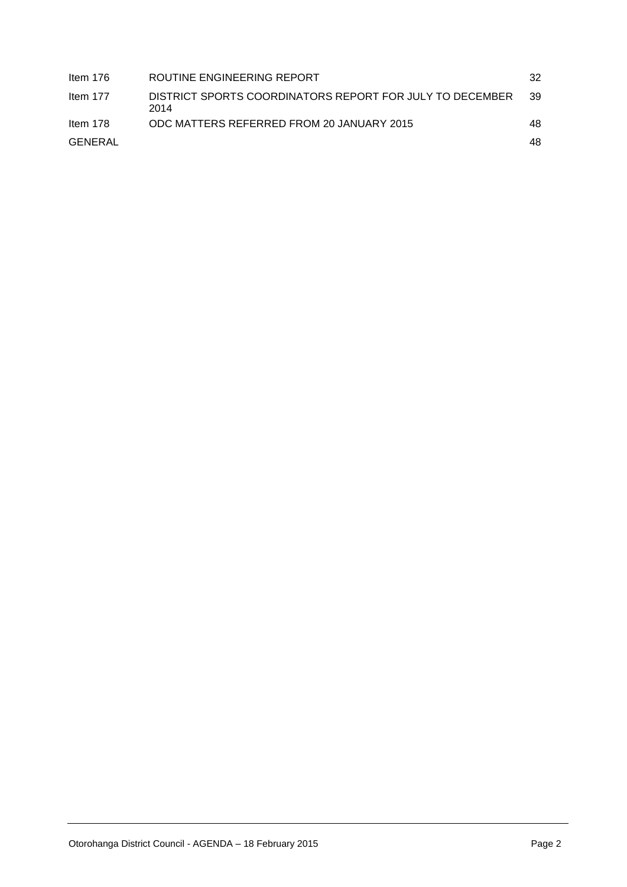| Item 176   | ROUTINE ENGINEERING REPORT                                       | 32  |
|------------|------------------------------------------------------------------|-----|
| Item $177$ | DISTRICT SPORTS COORDINATORS REPORT FOR JULY TO DECEMBER<br>2014 | 39  |
| Item 178   | ODC MATTERS REFERRED FROM 20 JANUARY 2015                        | 48. |
| GENERAL    |                                                                  | 48. |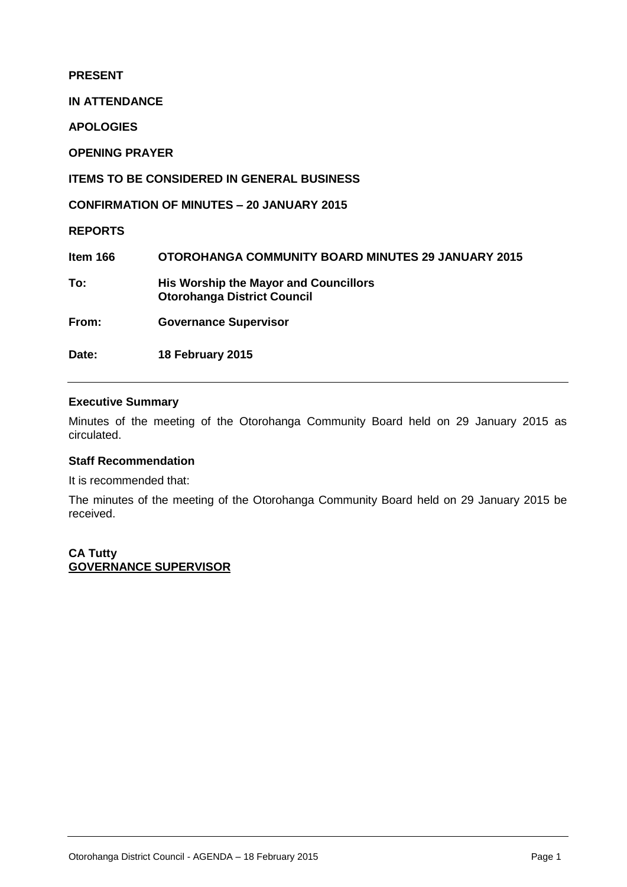**PRESENT**

**IN ATTENDANCE**

**APOLOGIES**

**OPENING PRAYER** 

**ITEMS TO BE CONSIDERED IN GENERAL BUSINESS**

**CONFIRMATION OF MINUTES – 20 JANUARY 2015**

**REPORTS**

**Item 166 OTOROHANGA COMMUNITY BOARD MINUTES 29 JANUARY 2015 To: His Worship the Mayor and Councillors Otorohanga District Council From: Governance Supervisor**

**Date: 18 February 2015** 

# **Executive Summary**

Minutes of the meeting of the Otorohanga Community Board held on 29 January 2015 as circulated.

# **Staff Recommendation**

It is recommended that:

The minutes of the meeting of the Otorohanga Community Board held on 29 January 2015 be received.

**CA Tutty GOVERNANCE SUPERVISOR**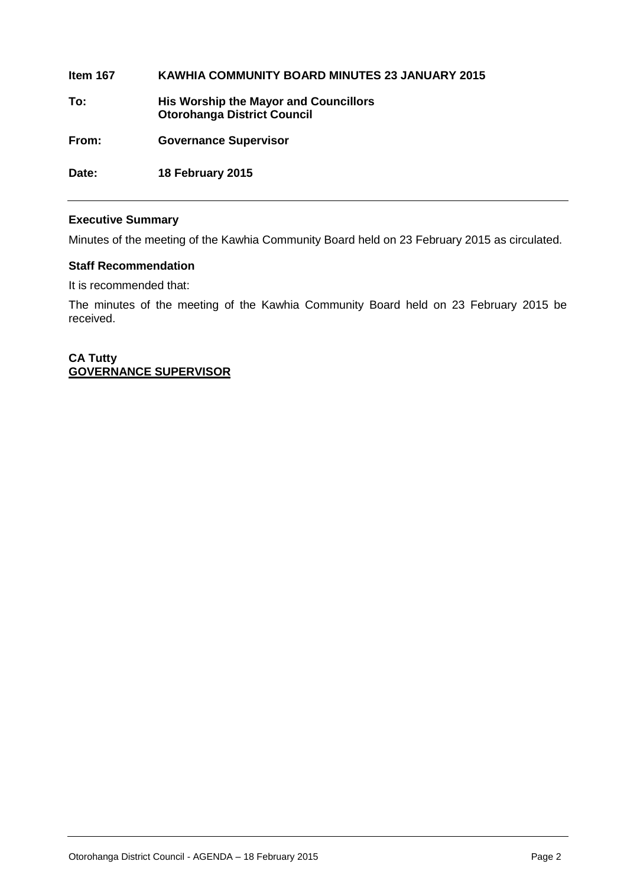**Item 167 KAWHIA COMMUNITY BOARD MINUTES 23 JANUARY 2015 To: His Worship the Mayor and Councillors Otorohanga District Council From: Governance Supervisor**

**Date: 18 February 2015** 

# **Executive Summary**

Minutes of the meeting of the Kawhia Community Board held on 23 February 2015 as circulated.

# **Staff Recommendation**

It is recommended that:

The minutes of the meeting of the Kawhia Community Board held on 23 February 2015 be received.

**CA Tutty GOVERNANCE SUPERVISOR**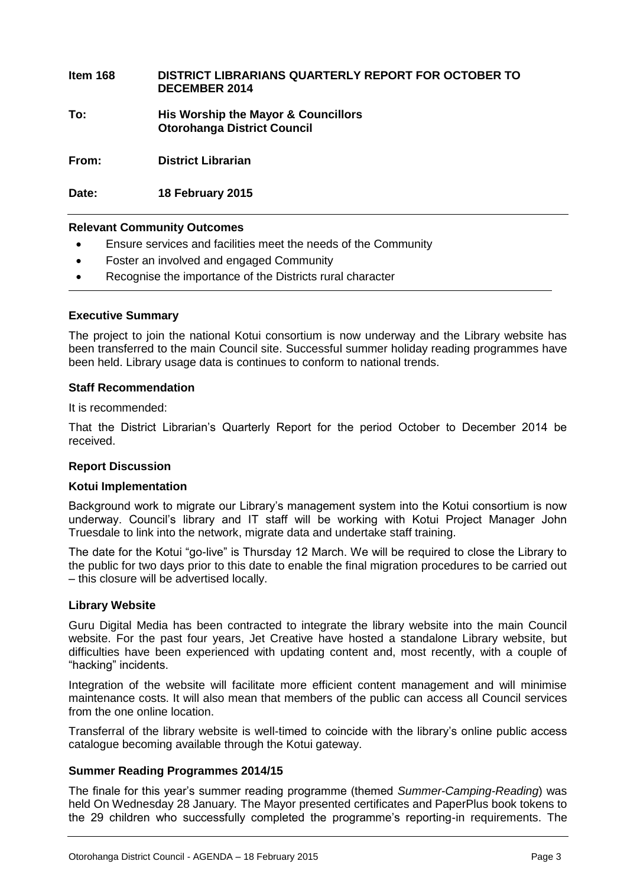**Item 168 DISTRICT LIBRARIANS QUARTERLY REPORT FOR OCTOBER TO DECEMBER 2014**

**To: His Worship the Mayor & Councillors Otorohanga District Council**

**From: District Librarian** 

**Date: 18 February 2015**

# **Relevant Community Outcomes**

- Ensure services and facilities meet the needs of the Community
- Foster an involved and engaged Community
- Recognise the importance of the Districts rural character

#### **Executive Summary**

The project to join the national Kotui consortium is now underway and the Library website has been transferred to the main Council site. Successful summer holiday reading programmes have been held. Library usage data is continues to conform to national trends.

# **Staff Recommendation**

It is recommended:

That the District Librarian's Quarterly Report for the period October to December 2014 be received.

# **Report Discussion**

# **Kotui Implementation**

Background work to migrate our Library's management system into the Kotui consortium is now underway. Council's library and IT staff will be working with Kotui Project Manager John Truesdale to link into the network, migrate data and undertake staff training.

The date for the Kotui "go-live" is Thursday 12 March. We will be required to close the Library to the public for two days prior to this date to enable the final migration procedures to be carried out – this closure will be advertised locally.

# **Library Website**

Guru Digital Media has been contracted to integrate the library website into the main Council website. For the past four years, Jet Creative have hosted a standalone Library website, but difficulties have been experienced with updating content and, most recently, with a couple of "hacking" incidents.

Integration of the website will facilitate more efficient content management and will minimise maintenance costs. It will also mean that members of the public can access all Council services from the one online location.

Transferral of the library website is well-timed to coincide with the library's online public access catalogue becoming available through the Kotui gateway.

# **Summer Reading Programmes 2014/15**

The finale for this year's summer reading programme (themed *Summer-Camping-Reading*) was held On Wednesday 28 January*.* The Mayor presented certificates and PaperPlus book tokens to the 29 children who successfully completed the programme's reporting-in requirements. The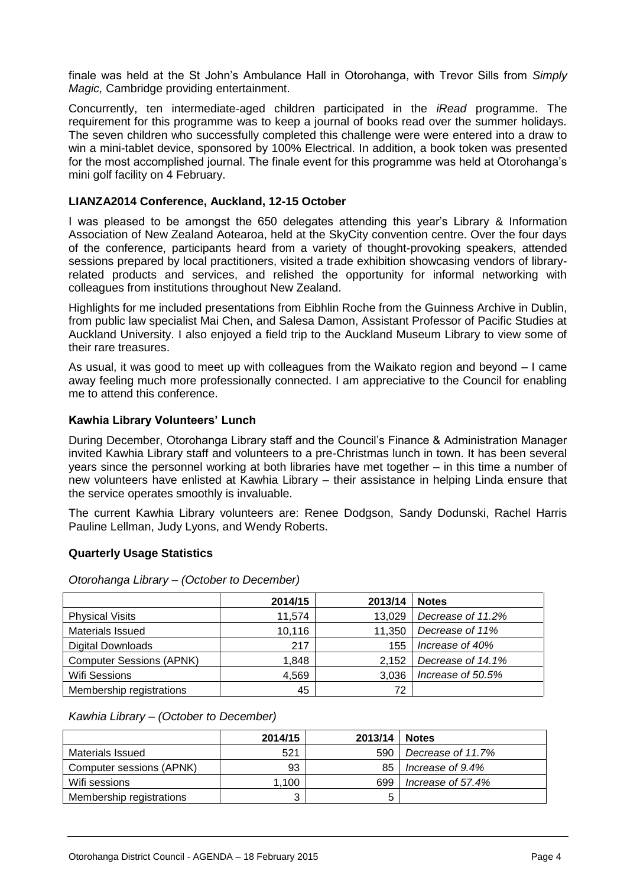finale was held at the St John's Ambulance Hall in Otorohanga, with Trevor Sills from *Simply Magic,* Cambridge providing entertainment.

Concurrently, ten intermediate-aged children participated in the *iRead* programme. The requirement for this programme was to keep a journal of books read over the summer holidays. The seven children who successfully completed this challenge were were entered into a draw to win a mini-tablet device, sponsored by 100% Electrical. In addition, a book token was presented for the most accomplished journal. The finale event for this programme was held at Otorohanga's mini golf facility on 4 February.

# **LIANZA2014 Conference, Auckland, 12-15 October**

I was pleased to be amongst the 650 delegates attending this year's Library & Information Association of New Zealand Aotearoa, held at the SkyCity convention centre. Over the four days of the conference, participants heard from a variety of thought-provoking speakers, attended sessions prepared by local practitioners, visited a trade exhibition showcasing vendors of libraryrelated products and services, and relished the opportunity for informal networking with colleagues from institutions throughout New Zealand.

Highlights for me included presentations from Eibhlin Roche from the Guinness Archive in Dublin, from public law specialist Mai Chen, and Salesa Damon, Assistant Professor of Pacific Studies at Auckland University. I also enjoyed a field trip to the Auckland Museum Library to view some of their rare treasures.

As usual, it was good to meet up with colleagues from the Waikato region and beyond – I came away feeling much more professionally connected. I am appreciative to the Council for enabling me to attend this conference.

# **Kawhia Library Volunteers' Lunch**

During December, Otorohanga Library staff and the Council's Finance & Administration Manager invited Kawhia Library staff and volunteers to a pre-Christmas lunch in town. It has been several years since the personnel working at both libraries have met together – in this time a number of new volunteers have enlisted at Kawhia Library – their assistance in helping Linda ensure that the service operates smoothly is invaluable.

The current Kawhia Library volunteers are: Renee Dodgson, Sandy Dodunski, Rachel Harris Pauline Lellman, Judy Lyons, and Wendy Roberts.

# **Quarterly Usage Statistics**

|                                 | 2014/15 | 2013/14 | <b>Notes</b>      |
|---------------------------------|---------|---------|-------------------|
| <b>Physical Visits</b>          | 11,574  | 13,029  | Decrease of 11.2% |
| <b>Materials Issued</b>         | 10,116  | 11,350  | Decrease of 11%   |
| <b>Digital Downloads</b>        | 217     | 155     | Increase of 40%   |
| <b>Computer Sessions (APNK)</b> | 1,848   | 2.152   | Decrease of 14.1% |
| <b>Wifi Sessions</b>            | 4,569   | 3.036   | Increase of 50.5% |
| Membership registrations        | 45      | 72      |                   |

*Otorohanga Library – (October to December)*

# *Kawhia Library – (October to December)*

|                          | 2014/15 | 2013/14 | <b>Notes</b>      |
|--------------------------|---------|---------|-------------------|
| Materials Issued         | 521     | 590     | Decrease of 11.7% |
| Computer sessions (APNK) | 93      | 85      | Increase of 9.4%  |
| Wifi sessions            | 1.100   | 699     | Increase of 57.4% |
| Membership registrations | 3       | b       |                   |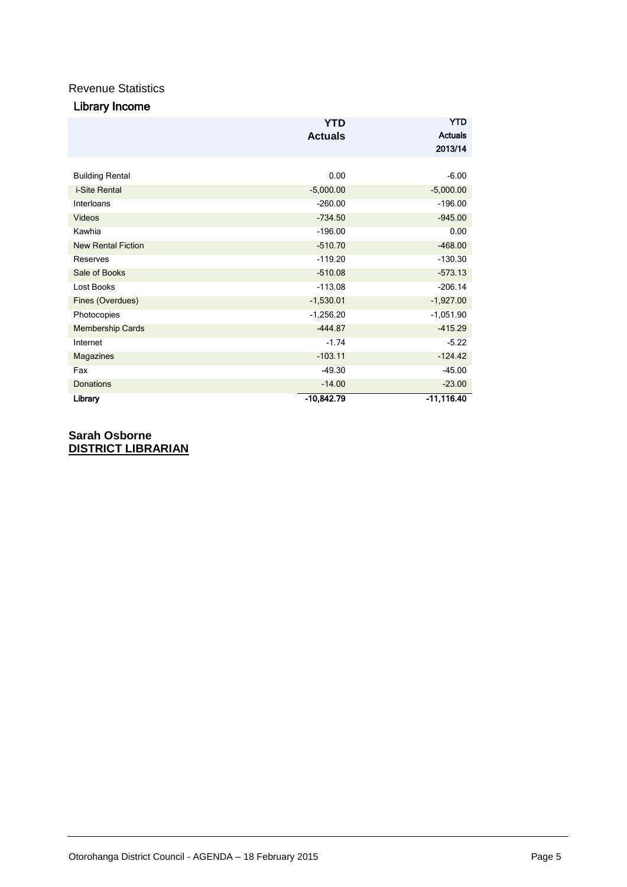# Revenue Statistics

| Library Income |  |
|----------------|--|
|----------------|--|

|                           | <b>YTD</b>     | <b>YTD</b>     |
|---------------------------|----------------|----------------|
|                           | <b>Actuals</b> | <b>Actuals</b> |
|                           |                | 2013/14        |
|                           |                |                |
| <b>Building Rental</b>    | 0.00           | $-6.00$        |
| i-Site Rental             | $-5,000.00$    | $-5,000.00$    |
| Interloans                | $-260.00$      | $-196.00$      |
| <b>Videos</b>             | $-734.50$      | $-945.00$      |
| Kawhia                    | $-196.00$      | 0.00           |
| <b>New Rental Fiction</b> | $-510.70$      | $-468.00$      |
| Reserves                  | $-119.20$      | $-130.30$      |
| Sale of Books             | $-510.08$      | $-573.13$      |
| Lost Books                | $-113.08$      | $-206.14$      |
| Fines (Overdues)          | $-1,530.01$    | $-1,927.00$    |
| Photocopies               | $-1,256.20$    | $-1,051.90$    |
| <b>Membership Cards</b>   | $-444.87$      | $-415.29$      |
| Internet                  | $-1.74$        | $-5.22$        |
| Magazines                 | $-103.11$      | $-124.42$      |
| Fax                       | $-49.30$       | $-45.00$       |
| Donations                 | $-14.00$       | $-23.00$       |
| Library                   | $-10,842.79$   | $-11,116.40$   |

**Sarah Osborne DISTRICT LIBRARIAN**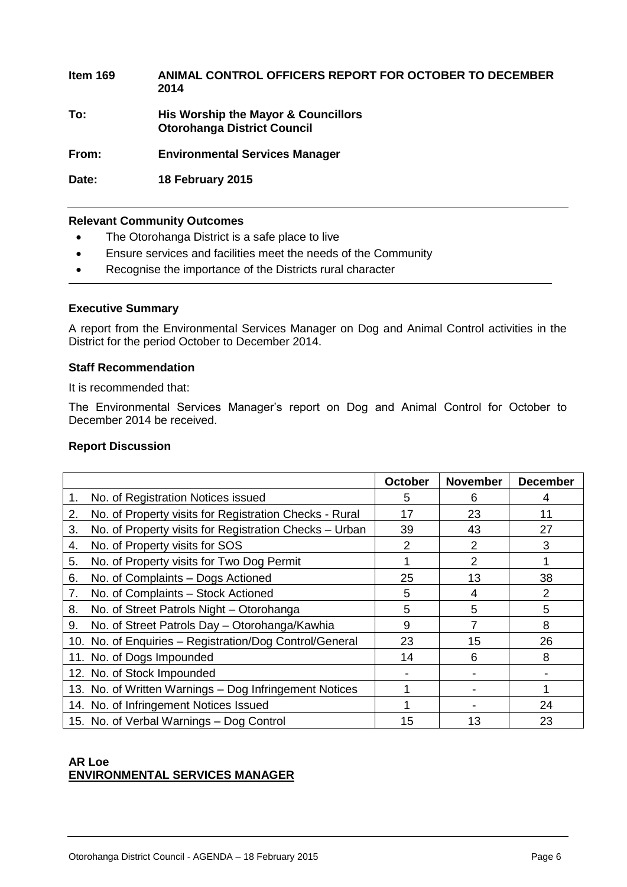**Item 169 ANIMAL CONTROL OFFICERS REPORT FOR OCTOBER TO DECEMBER 2014 To: His Worship the Mayor & Councillors Otorohanga District Council From: Environmental Services Manager**

**Date: 18 February 2015**

# **Relevant Community Outcomes**

- The Otorohanga District is a safe place to live
- Ensure services and facilities meet the needs of the Community
- Recognise the importance of the Districts rural character

# **Executive Summary**

A report from the Environmental Services Manager on Dog and Animal Control activities in the District for the period October to December 2014.

# **Staff Recommendation**

It is recommended that:

The Environmental Services Manager's report on Dog and Animal Control for October to December 2014 be received.

# **Report Discussion**

|                                                              | <b>October</b> | <b>November</b> | <b>December</b> |
|--------------------------------------------------------------|----------------|-----------------|-----------------|
| No. of Registration Notices issued<br>1.                     | 5              | 6               | 4               |
| No. of Property visits for Registration Checks - Rural<br>2. | 17             | 23              | 11              |
| No. of Property visits for Registration Checks - Urban<br>3. | 39             | 43              | 27              |
| No. of Property visits for SOS<br>4.                         | 2              | 2               | 3               |
| No. of Property visits for Two Dog Permit<br>5.              |                | 2               |                 |
| 6.<br>No. of Complaints - Dogs Actioned                      | 25             | 13              | 38              |
| No. of Complaints - Stock Actioned<br>7.                     | 5              | 4               | $\overline{2}$  |
| No. of Street Patrols Night - Otorohanga<br>8.               | 5              | 5               | 5               |
| No. of Street Patrols Day - Otorohanga/Kawhia<br>9.          | 9              |                 | 8               |
| 10. No. of Enquiries - Registration/Dog Control/General      | 23             | 15              | 26              |
| 11. No. of Dogs Impounded                                    | 14             | 6               | 8               |
| 12. No. of Stock Impounded                                   |                |                 |                 |
| 13. No. of Written Warnings - Dog Infringement Notices       |                |                 |                 |
| 14. No. of Infringement Notices Issued                       |                |                 | 24              |
| 15. No. of Verbal Warnings - Dog Control                     | 15             | 13              | 23              |

# **AR Loe ENVIRONMENTAL SERVICES MANAGER**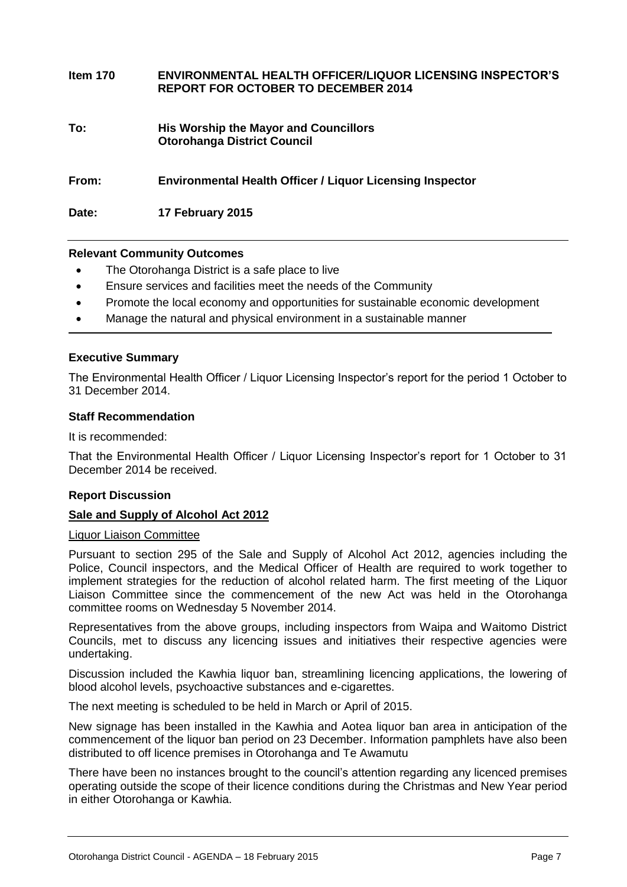| Item 170 | <b>ENVIRONMENTAL HEALTH OFFICER/LIQUOR LICENSING INSPECTOR'S</b><br><b>REPORT FOR OCTOBER TO DECEMBER 2014</b> |
|----------|----------------------------------------------------------------------------------------------------------------|
| To:      | <b>His Worship the Mayor and Councillors</b><br><b>Otorohanga District Council</b>                             |
| From:    | <b>Environmental Health Officer / Liquor Licensing Inspector</b>                                               |
| Date:    | 17 February 2015                                                                                               |

# **Relevant Community Outcomes**

- The Otorohanga District is a safe place to live
- Ensure services and facilities meet the needs of the Community
- Promote the local economy and opportunities for sustainable economic development
- Manage the natural and physical environment in a sustainable manner

# **Executive Summary**

The Environmental Health Officer / Liquor Licensing Inspector's report for the period 1 October to 31 December 2014.

#### **Staff Recommendation**

It is recommended:

That the Environmental Health Officer / Liquor Licensing Inspector's report for 1 October to 31 December 2014 be received.

# **Report Discussion**

# **Sale and Supply of Alcohol Act 2012**

# Liquor Liaison Committee

Pursuant to section 295 of the Sale and Supply of Alcohol Act 2012, agencies including the Police, Council inspectors, and the Medical Officer of Health are required to work together to implement strategies for the reduction of alcohol related harm. The first meeting of the Liquor Liaison Committee since the commencement of the new Act was held in the Otorohanga committee rooms on Wednesday 5 November 2014.

Representatives from the above groups, including inspectors from Waipa and Waitomo District Councils, met to discuss any licencing issues and initiatives their respective agencies were undertaking.

Discussion included the Kawhia liquor ban, streamlining licencing applications, the lowering of blood alcohol levels, psychoactive substances and e-cigarettes.

The next meeting is scheduled to be held in March or April of 2015.

New signage has been installed in the Kawhia and Aotea liquor ban area in anticipation of the commencement of the liquor ban period on 23 December. Information pamphlets have also been distributed to off licence premises in Otorohanga and Te Awamutu

There have been no instances brought to the council's attention regarding any licenced premises operating outside the scope of their licence conditions during the Christmas and New Year period in either Otorohanga or Kawhia.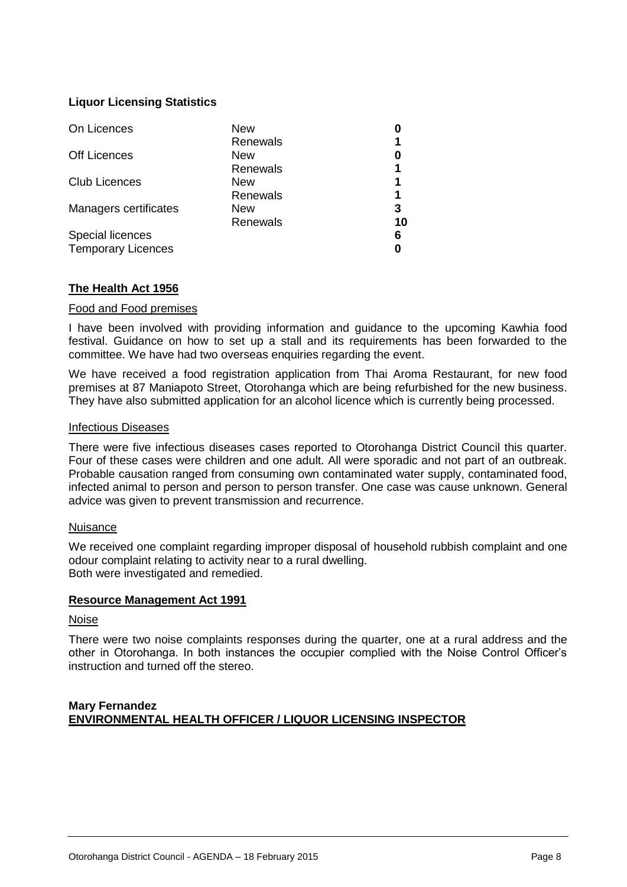# **Liquor Licensing Statistics**

| On Licences               | New        |    |
|---------------------------|------------|----|
|                           | Renewals   |    |
| <b>Off Licences</b>       | <b>New</b> |    |
|                           | Renewals   |    |
| <b>Club Licences</b>      | <b>New</b> | 1  |
|                           | Renewals   | 1  |
| Managers certificates     | <b>New</b> | 3  |
|                           | Renewals   | 10 |
| Special licences          |            | 6  |
| <b>Temporary Licences</b> |            |    |

# **The Health Act 1956**

# Food and Food premises

I have been involved with providing information and guidance to the upcoming Kawhia food festival. Guidance on how to set up a stall and its requirements has been forwarded to the committee. We have had two overseas enquiries regarding the event.

We have received a food registration application from Thai Aroma Restaurant, for new food premises at 87 Maniapoto Street, Otorohanga which are being refurbished for the new business. They have also submitted application for an alcohol licence which is currently being processed.

# Infectious Diseases

There were five infectious diseases cases reported to Otorohanga District Council this quarter. Four of these cases were children and one adult. All were sporadic and not part of an outbreak. Probable causation ranged from consuming own contaminated water supply, contaminated food, infected animal to person and person to person transfer. One case was cause unknown. General advice was given to prevent transmission and recurrence.

# Nuisance

We received one complaint regarding improper disposal of household rubbish complaint and one odour complaint relating to activity near to a rural dwelling. Both were investigated and remedied.

# **Resource Management Act 1991**

# Noise

There were two noise complaints responses during the quarter, one at a rural address and the other in Otorohanga. In both instances the occupier complied with the Noise Control Officer's instruction and turned off the stereo.

# **Mary Fernandez ENVIRONMENTAL HEALTH OFFICER / LIQUOR LICENSING INSPECTOR**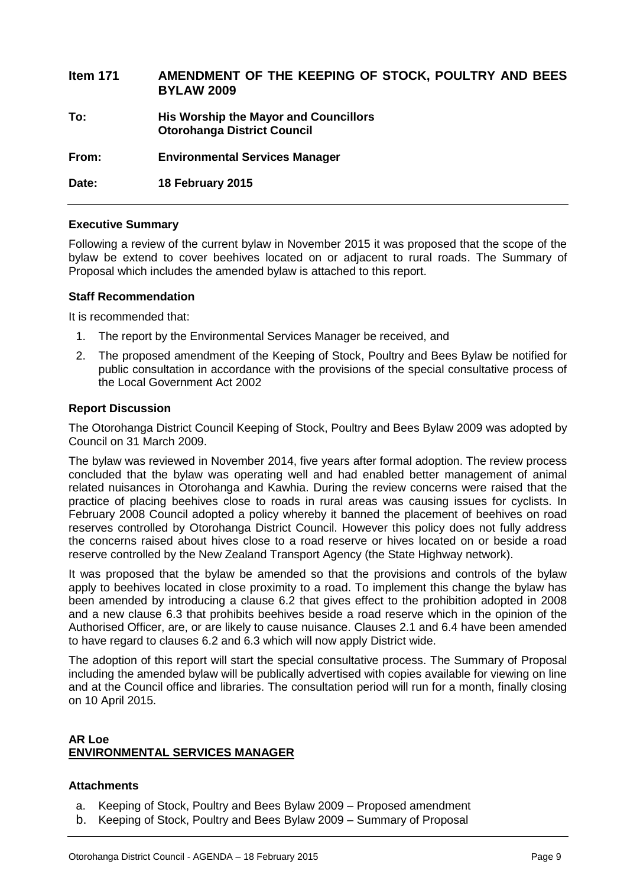| <b>Item 171</b> | AMENDMENT OF THE KEEPING OF STOCK, POULTRY AND BEES<br><b>BYLAW 2009</b>    |
|-----------------|-----------------------------------------------------------------------------|
| To:             | His Worship the Mayor and Councillors<br><b>Otorohanga District Council</b> |
| From:           | <b>Environmental Services Manager</b>                                       |
| Date:           | 18 February 2015                                                            |

# **Executive Summary**

Following a review of the current bylaw in November 2015 it was proposed that the scope of the bylaw be extend to cover beehives located on or adjacent to rural roads. The Summary of Proposal which includes the amended bylaw is attached to this report.

# **Staff Recommendation**

It is recommended that:

- 1. The report by the Environmental Services Manager be received, and
- 2. The proposed amendment of the Keeping of Stock, Poultry and Bees Bylaw be notified for public consultation in accordance with the provisions of the special consultative process of the Local Government Act 2002

# **Report Discussion**

The Otorohanga District Council Keeping of Stock, Poultry and Bees Bylaw 2009 was adopted by Council on 31 March 2009.

The bylaw was reviewed in November 2014, five years after formal adoption. The review process concluded that the bylaw was operating well and had enabled better management of animal related nuisances in Otorohanga and Kawhia. During the review concerns were raised that the practice of placing beehives close to roads in rural areas was causing issues for cyclists. In February 2008 Council adopted a policy whereby it banned the placement of beehives on road reserves controlled by Otorohanga District Council. However this policy does not fully address the concerns raised about hives close to a road reserve or hives located on or beside a road reserve controlled by the New Zealand Transport Agency (the State Highway network).

It was proposed that the bylaw be amended so that the provisions and controls of the bylaw apply to beehives located in close proximity to a road. To implement this change the bylaw has been amended by introducing a clause 6.2 that gives effect to the prohibition adopted in 2008 and a new clause 6.3 that prohibits beehives beside a road reserve which in the opinion of the Authorised Officer, are, or are likely to cause nuisance. Clauses 2.1 and 6.4 have been amended to have regard to clauses 6.2 and 6.3 which will now apply District wide.

The adoption of this report will start the special consultative process. The Summary of Proposal including the amended bylaw will be publically advertised with copies available for viewing on line and at the Council office and libraries. The consultation period will run for a month, finally closing on 10 April 2015.

# **AR Loe ENVIRONMENTAL SERVICES MANAGER**

# **Attachments**

- a. Keeping of Stock, Poultry and Bees Bylaw 2009 Proposed amendment
- b. Keeping of Stock, Poultry and Bees Bylaw 2009 Summary of Proposal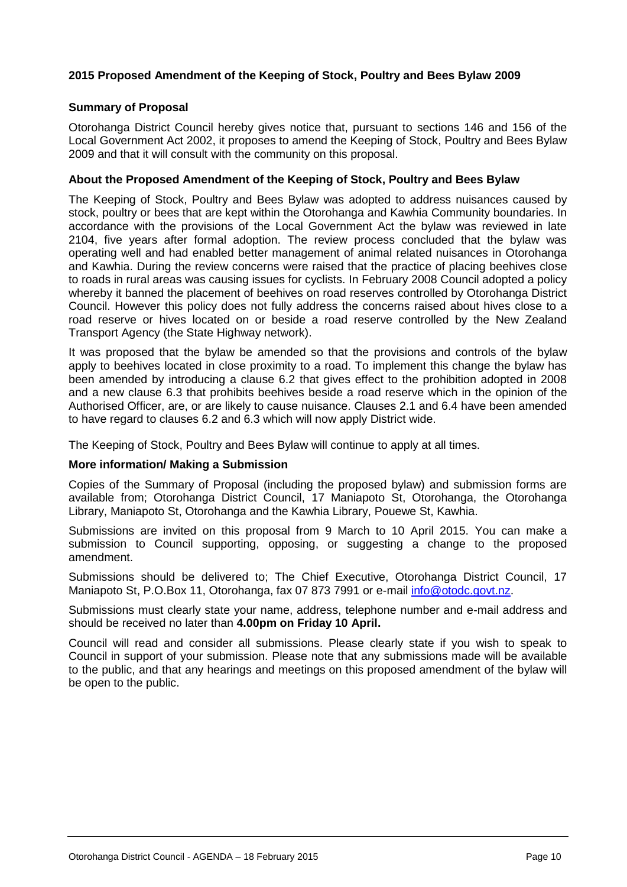# **2015 Proposed Amendment of the Keeping of Stock, Poultry and Bees Bylaw 2009**

# **Summary of Proposal**

Otorohanga District Council hereby gives notice that, pursuant to sections 146 and 156 of the Local Government Act 2002, it proposes to amend the Keeping of Stock, Poultry and Bees Bylaw 2009 and that it will consult with the community on this proposal.

# **About the Proposed Amendment of the Keeping of Stock, Poultry and Bees Bylaw**

The Keeping of Stock, Poultry and Bees Bylaw was adopted to address nuisances caused by stock, poultry or bees that are kept within the Otorohanga and Kawhia Community boundaries. In accordance with the provisions of the Local Government Act the bylaw was reviewed in late 2104, five years after formal adoption. The review process concluded that the bylaw was operating well and had enabled better management of animal related nuisances in Otorohanga and Kawhia. During the review concerns were raised that the practice of placing beehives close to roads in rural areas was causing issues for cyclists. In February 2008 Council adopted a policy whereby it banned the placement of beehives on road reserves controlled by Otorohanga District Council. However this policy does not fully address the concerns raised about hives close to a road reserve or hives located on or beside a road reserve controlled by the New Zealand Transport Agency (the State Highway network).

It was proposed that the bylaw be amended so that the provisions and controls of the bylaw apply to beehives located in close proximity to a road. To implement this change the bylaw has been amended by introducing a clause 6.2 that gives effect to the prohibition adopted in 2008 and a new clause 6.3 that prohibits beehives beside a road reserve which in the opinion of the Authorised Officer, are, or are likely to cause nuisance. Clauses 2.1 and 6.4 have been amended to have regard to clauses 6.2 and 6.3 which will now apply District wide.

The Keeping of Stock, Poultry and Bees Bylaw will continue to apply at all times.

# **More information/ Making a Submission**

Copies of the Summary of Proposal (including the proposed bylaw) and submission forms are available from; Otorohanga District Council, 17 Maniapoto St, Otorohanga, the Otorohanga Library, Maniapoto St, Otorohanga and the Kawhia Library, Pouewe St, Kawhia.

Submissions are invited on this proposal from 9 March to 10 April 2015. You can make a submission to Council supporting, opposing, or suggesting a change to the proposed amendment.

Submissions should be delivered to; The Chief Executive, Otorohanga District Council, 17 Maniapoto St, P.O.Box 11, Otorohanga, fax 07 873 7991 or e-mail *info@otodc.govt.nz.* 

Submissions must clearly state your name, address, telephone number and e-mail address and should be received no later than **4.00pm on Friday 10 April.**

Council will read and consider all submissions. Please clearly state if you wish to speak to Council in support of your submission. Please note that any submissions made will be available to the public, and that any hearings and meetings on this proposed amendment of the bylaw will be open to the public.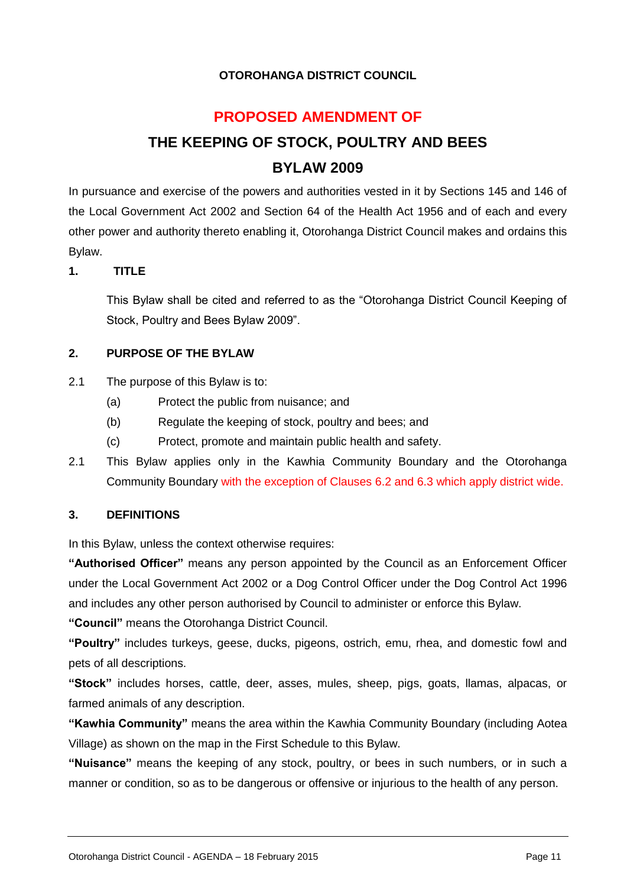# **OTOROHANGA DISTRICT COUNCIL**

# **PROPOSED AMENDMENT OF**

# **THE KEEPING OF STOCK, POULTRY AND BEES BYLAW 2009**

In pursuance and exercise of the powers and authorities vested in it by Sections 145 and 146 of the Local Government Act 2002 and Section 64 of the Health Act 1956 and of each and every other power and authority thereto enabling it, Otorohanga District Council makes and ordains this Bylaw.

# **1. TITLE**

This Bylaw shall be cited and referred to as the "Otorohanga District Council Keeping of Stock, Poultry and Bees Bylaw 2009".

# **2. PURPOSE OF THE BYLAW**

- 2.1 The purpose of this Bylaw is to:
	- (a) Protect the public from nuisance; and
	- (b) Regulate the keeping of stock, poultry and bees; and
	- (c) Protect, promote and maintain public health and safety.
- 2.1 This Bylaw applies only in the Kawhia Community Boundary and the Otorohanga Community Boundary with the exception of Clauses 6.2 and 6.3 which apply district wide.

# **3. DEFINITIONS**

In this Bylaw, unless the context otherwise requires:

**"Authorised Officer"** means any person appointed by the Council as an Enforcement Officer under the Local Government Act 2002 or a Dog Control Officer under the Dog Control Act 1996 and includes any other person authorised by Council to administer or enforce this Bylaw.

**"Council"** means the Otorohanga District Council.

**"Poultry"** includes turkeys, geese, ducks, pigeons, ostrich, emu, rhea, and domestic fowl and pets of all descriptions.

**"Stock"** includes horses, cattle, deer, asses, mules, sheep, pigs, goats, llamas, alpacas, or farmed animals of any description.

**"Kawhia Community"** means the area within the Kawhia Community Boundary (including Aotea Village) as shown on the map in the First Schedule to this Bylaw.

**"Nuisance"** means the keeping of any stock, poultry, or bees in such numbers, or in such a manner or condition, so as to be dangerous or offensive or injurious to the health of any person.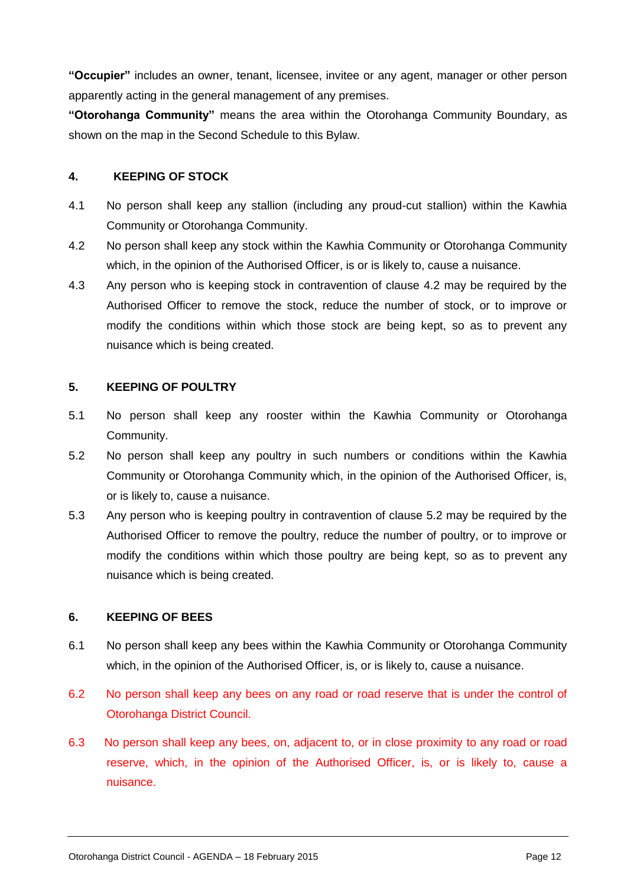**"Occupier"** includes an owner, tenant, licensee, invitee or any agent, manager or other person apparently acting in the general management of any premises.

**"Otorohanga Community"** means the area within the Otorohanga Community Boundary, as shown on the map in the Second Schedule to this Bylaw.

# **4. KEEPING OF STOCK**

- 4.1 No person shall keep any stallion (including any proud-cut stallion) within the Kawhia Community or Otorohanga Community.
- 4.2 No person shall keep any stock within the Kawhia Community or Otorohanga Community which, in the opinion of the Authorised Officer, is or is likely to, cause a nuisance.
- 4.3 Any person who is keeping stock in contravention of clause 4.2 may be required by the Authorised Officer to remove the stock, reduce the number of stock, or to improve or modify the conditions within which those stock are being kept, so as to prevent any nuisance which is being created.

# **5. KEEPING OF POULTRY**

- 5.1 No person shall keep any rooster within the Kawhia Community or Otorohanga Community.
- 5.2 No person shall keep any poultry in such numbers or conditions within the Kawhia Community or Otorohanga Community which, in the opinion of the Authorised Officer, is, or is likely to, cause a nuisance.
- 5.3 Any person who is keeping poultry in contravention of clause 5.2 may be required by the Authorised Officer to remove the poultry, reduce the number of poultry, or to improve or modify the conditions within which those poultry are being kept, so as to prevent any nuisance which is being created.

# **6. KEEPING OF BEES**

- 6.1 No person shall keep any bees within the Kawhia Community or Otorohanga Community which, in the opinion of the Authorised Officer, is, or is likely to, cause a nuisance.
- 6.2 No person shall keep any bees on any road or road reserve that is under the control of Otorohanga District Council.
- 6.3 No person shall keep any bees, on, adjacent to, or in close proximity to any road or road reserve, which, in the opinion of the Authorised Officer, is, or is likely to, cause a nuisance.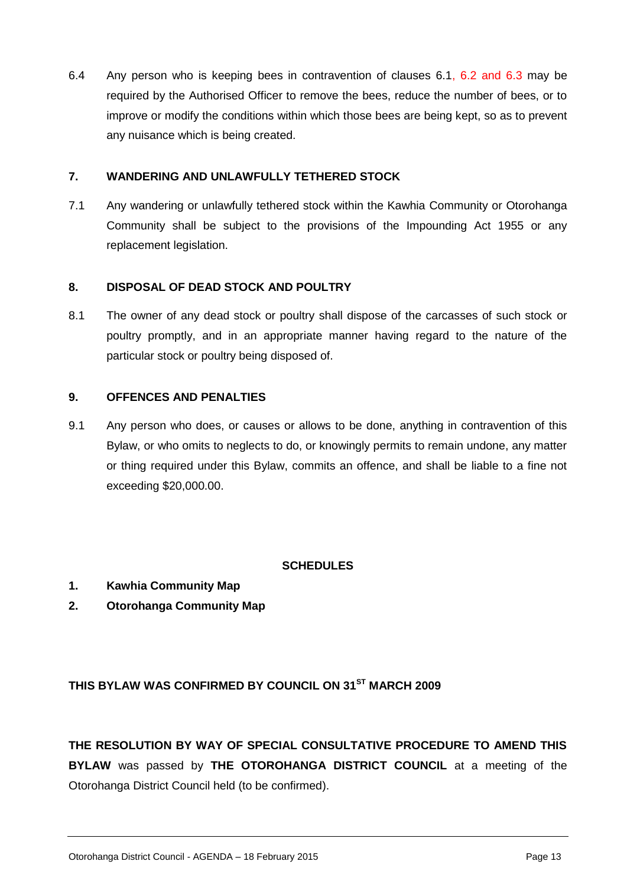6.4 Any person who is keeping bees in contravention of clauses 6.1, 6.2 and 6.3 may be required by the Authorised Officer to remove the bees, reduce the number of bees, or to improve or modify the conditions within which those bees are being kept, so as to prevent any nuisance which is being created.

# **7. WANDERING AND UNLAWFULLY TETHERED STOCK**

7.1 Any wandering or unlawfully tethered stock within the Kawhia Community or Otorohanga Community shall be subject to the provisions of the Impounding Act 1955 or any replacement legislation.

# **8. DISPOSAL OF DEAD STOCK AND POULTRY**

8.1 The owner of any dead stock or poultry shall dispose of the carcasses of such stock or poultry promptly, and in an appropriate manner having regard to the nature of the particular stock or poultry being disposed of.

# **9. OFFENCES AND PENALTIES**

9.1 Any person who does, or causes or allows to be done, anything in contravention of this Bylaw, or who omits to neglects to do, or knowingly permits to remain undone, any matter or thing required under this Bylaw, commits an offence, and shall be liable to a fine not exceeding \$20,000.00.

# **SCHEDULES**

- **1. Kawhia Community Map**
- **2. Otorohanga Community Map**

# **THIS BYLAW WAS CONFIRMED BY COUNCIL ON 31ST MARCH 2009**

**THE RESOLUTION BY WAY OF SPECIAL CONSULTATIVE PROCEDURE TO AMEND THIS BYLAW** was passed by **THE OTOROHANGA DISTRICT COUNCIL** at a meeting of the Otorohanga District Council held (to be confirmed).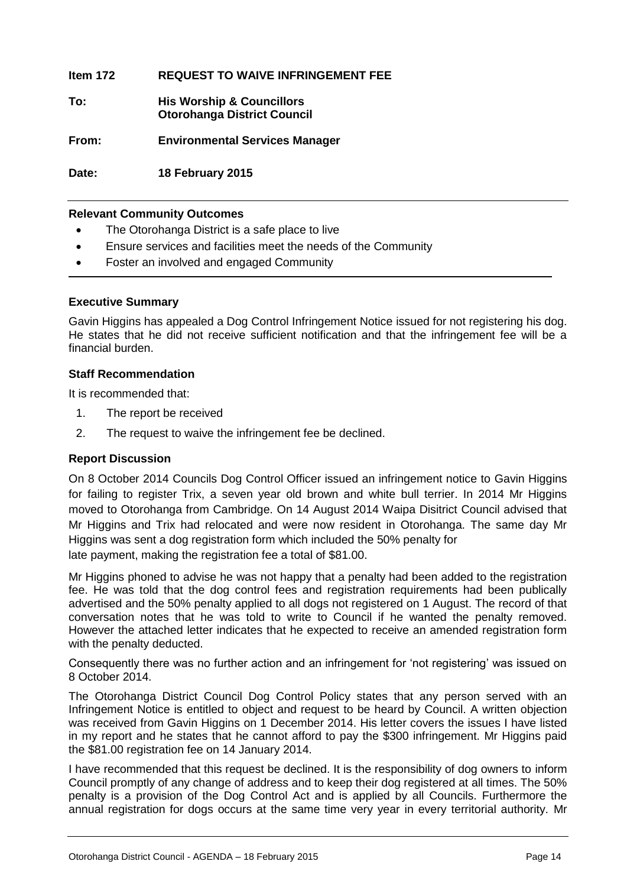**Item 172 REQUEST TO WAIVE INFRINGEMENT FEE**

**To: His Worship & Councillors Otorohanga District Council**

**From: Environmental Services Manager**

**Date: 18 February 2015**

# **Relevant Community Outcomes**

- The Otorohanga District is a safe place to live
- Ensure services and facilities meet the needs of the Community
- Foster an involved and engaged Community

# **Executive Summary**

Gavin Higgins has appealed a Dog Control Infringement Notice issued for not registering his dog. He states that he did not receive sufficient notification and that the infringement fee will be a financial burden.

# **Staff Recommendation**

It is recommended that:

- 1. The report be received
- 2. The request to waive the infringement fee be declined.

# **Report Discussion**

On 8 October 2014 Councils Dog Control Officer issued an infringement notice to Gavin Higgins for failing to register Trix, a seven year old brown and white bull terrier. In 2014 Mr Higgins moved to Otorohanga from Cambridge. On 14 August 2014 Waipa Disitrict Council advised that Mr Higgins and Trix had relocated and were now resident in Otorohanga. The same day Mr Higgins was sent a dog registration form which included the 50% penalty for late payment, making the registration fee a total of \$81.00.

Mr Higgins phoned to advise he was not happy that a penalty had been added to the registration fee. He was told that the dog control fees and registration requirements had been publically advertised and the 50% penalty applied to all dogs not registered on 1 August. The record of that conversation notes that he was told to write to Council if he wanted the penalty removed. However the attached letter indicates that he expected to receive an amended registration form with the penalty deducted.

Consequently there was no further action and an infringement for 'not registering' was issued on 8 October 2014.

The Otorohanga District Council Dog Control Policy states that any person served with an Infringement Notice is entitled to object and request to be heard by Council. A written objection was received from Gavin Higgins on 1 December 2014. His letter covers the issues I have listed in my report and he states that he cannot afford to pay the \$300 infringement. Mr Higgins paid the \$81.00 registration fee on 14 January 2014.

I have recommended that this request be declined. It is the responsibility of dog owners to inform Council promptly of any change of address and to keep their dog registered at all times. The 50% penalty is a provision of the Dog Control Act and is applied by all Councils. Furthermore the annual registration for dogs occurs at the same time very year in every territorial authority. Mr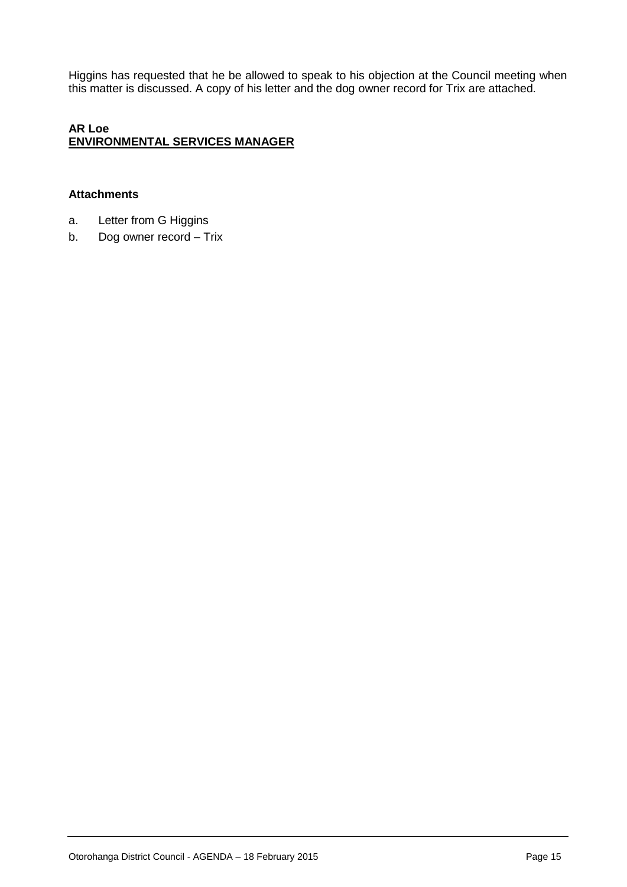Higgins has requested that he be allowed to speak to his objection at the Council meeting when this matter is discussed. A copy of his letter and the dog owner record for Trix are attached.

# **AR Loe ENVIRONMENTAL SERVICES MANAGER**

# **Attachments**

- a. Letter from G Higgins
- b. Dog owner record Trix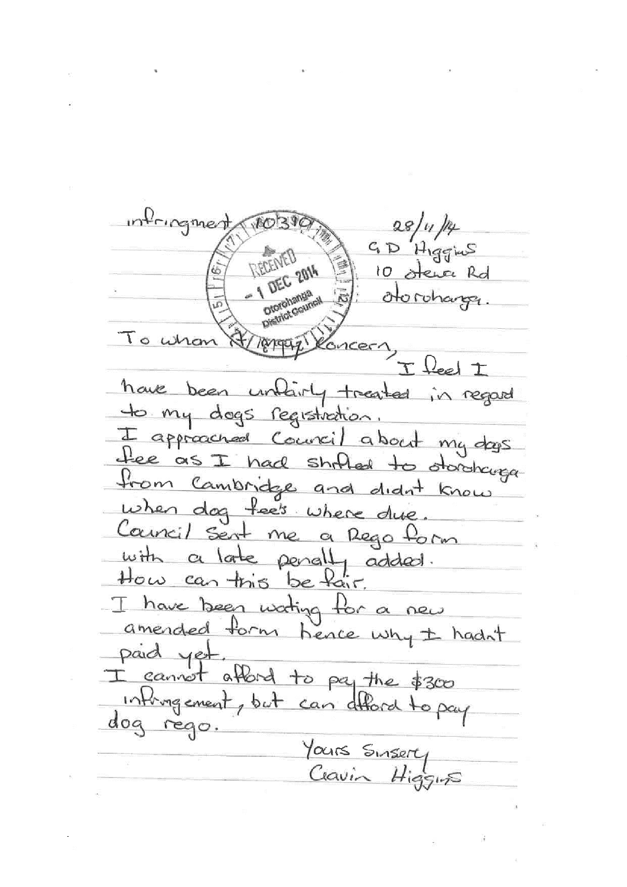informent  $28/4/4$  $GD$  Higgins DEC<sub>2014</sub> 10 stewar Rd Discrimination otorohanger. Diorohana<br>Diorohana To whom ncer/ have been unlivity treated in regard to my dogs registration I approached Council about my days fee as I had shrilled to doroking from Cambridge and didn't know when dog fee's where due Council sent me a Rego form with a late penally added. I have been wating for a new amended form hence why ± hadn't paid yet. I cannot afford to pay the  $$300$ infingement, but can afford to pay dog rego. Yours Sinsery<br>Clavin Higgins

Otorohanga District Council - AGENDA – 18 February 2015 Page 16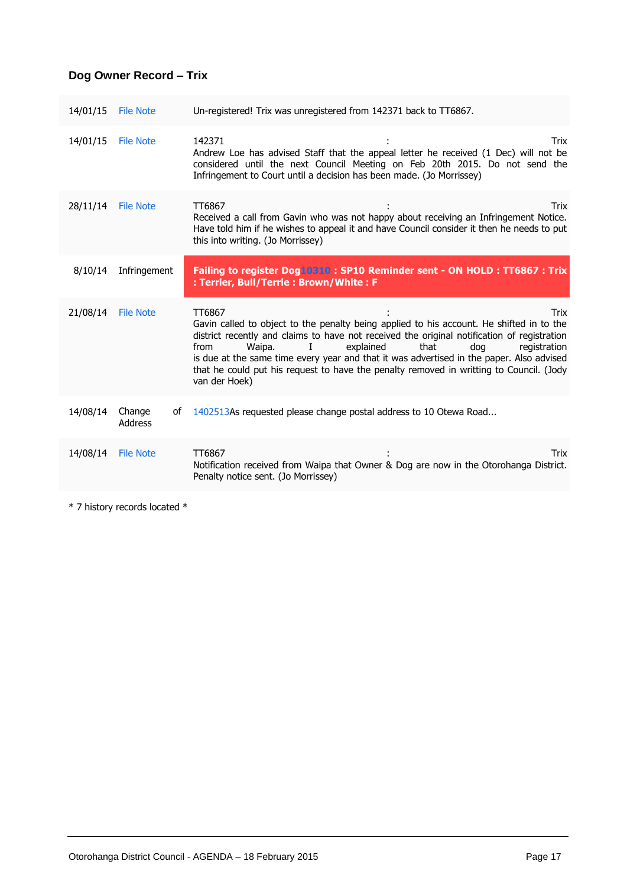# **Dog Owner Record – Trix**

| 14/01/15 | <b>File Note</b>               | Un-registered! Trix was unregistered from 142371 back to TT6867.                                                                                                                                                                                                                                                                                                                                                                                                                     |
|----------|--------------------------------|--------------------------------------------------------------------------------------------------------------------------------------------------------------------------------------------------------------------------------------------------------------------------------------------------------------------------------------------------------------------------------------------------------------------------------------------------------------------------------------|
| 14/01/15 | <b>File Note</b>               | 142371<br>Trix<br>Andrew Loe has advised Staff that the appeal letter he received (1 Dec) will not be<br>considered until the next Council Meeting on Feb 20th 2015. Do not send the<br>Infringement to Court until a decision has been made. (Jo Morrissey)                                                                                                                                                                                                                         |
| 28/11/14 | <b>File Note</b>               | TT6867<br>Trix<br>Received a call from Gavin who was not happy about receiving an Infringement Notice.<br>Have told him if he wishes to appeal it and have Council consider it then he needs to put<br>this into writing. (Jo Morrissey)                                                                                                                                                                                                                                             |
| 8/10/14  | Infringement                   | Failing to register Dog10310: SP10 Reminder sent - ON HOLD: TT6867: Trix<br>: Terrier, Bull/Terrie: Brown/White: F                                                                                                                                                                                                                                                                                                                                                                   |
| 21/08/14 | <b>File Note</b>               | TT6867<br>Trix<br>Gavin called to object to the penalty being applied to his account. He shifted in to the<br>district recently and claims to have not received the original notification of registration<br>that<br>Waipa.<br>I<br>explained<br>dog<br>registration<br>from<br>is due at the same time every year and that it was advertised in the paper. Also advised<br>that he could put his request to have the penalty removed in writting to Council. (Jody<br>van der Hoek) |
| 14/08/14 | Change<br>οf<br><b>Address</b> | 1402513As requested please change postal address to 10 Otewa Road                                                                                                                                                                                                                                                                                                                                                                                                                    |
| 14/08/14 | <b>File Note</b>               | TT6867<br>Trix<br>Notification received from Waipa that Owner & Dog are now in the Otorohanga District.<br>Penalty notice sent. (Jo Morrissey)                                                                                                                                                                                                                                                                                                                                       |

\* 7 history records located \*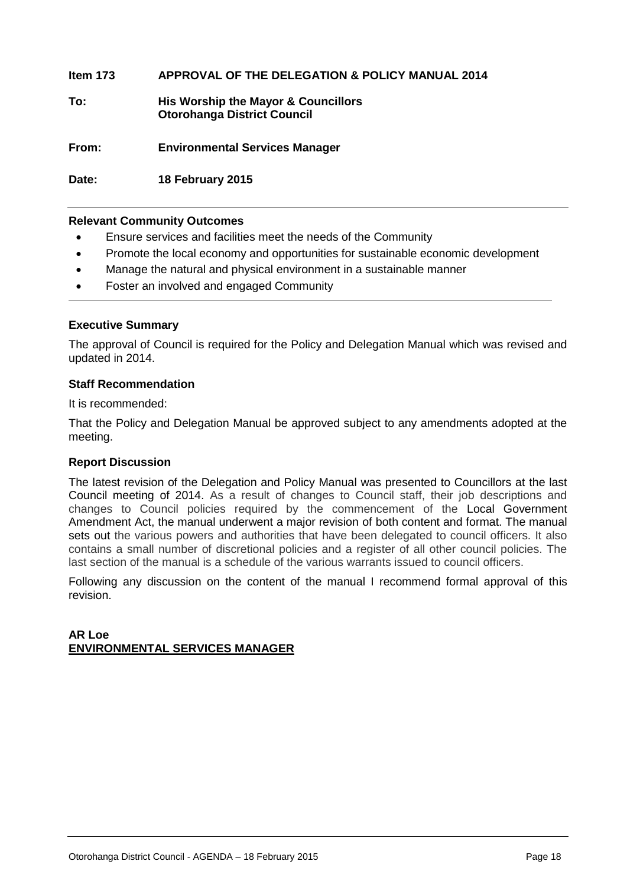# **Item 173 APPROVAL OF THE DELEGATION & POLICY MANUAL 2014**

# **To: His Worship the Mayor & Councillors Otorohanga District Council**

**From: Environmental Services Manager**

**Date: 18 February 2015**

# **Relevant Community Outcomes**

- Ensure services and facilities meet the needs of the Community
- Promote the local economy and opportunities for sustainable economic development
- Manage the natural and physical environment in a sustainable manner
- Foster an involved and engaged Community

# **Executive Summary**

The approval of Council is required for the Policy and Delegation Manual which was revised and updated in 2014.

# **Staff Recommendation**

It is recommended:

That the Policy and Delegation Manual be approved subject to any amendments adopted at the meeting.

# **Report Discussion**

The latest revision of the Delegation and Policy Manual was presented to Councillors at the last Council meeting of 2014. As a result of changes to Council staff, their job descriptions and changes to Council policies required by the commencement of the [Local Government](http://www.legislation.govt.nz/act/public/2002/0084/latest/link.aspx?search=ts_act%40bill%40regulation%40deemedreg_local+governmen*_resel_25_a&p=1&id=DLM5706802)  [Amendment Act, the manual underwent a major revision o](http://www.legislation.govt.nz/act/public/2002/0084/latest/link.aspx?search=ts_act%40bill%40regulation%40deemedreg_local+governmen*_resel_25_a&p=1&id=DLM5706802)f both content and format. The manual sets out the various powers and authorities that have been delegated to council officers. It also contains a small number of discretional policies and a register of all other council policies. The last section of the manual is a schedule of the various warrants issued to council officers.

Following any discussion on the content of the manual I recommend formal approval of this revision.

# **AR Loe ENVIRONMENTAL SERVICES MANAGER**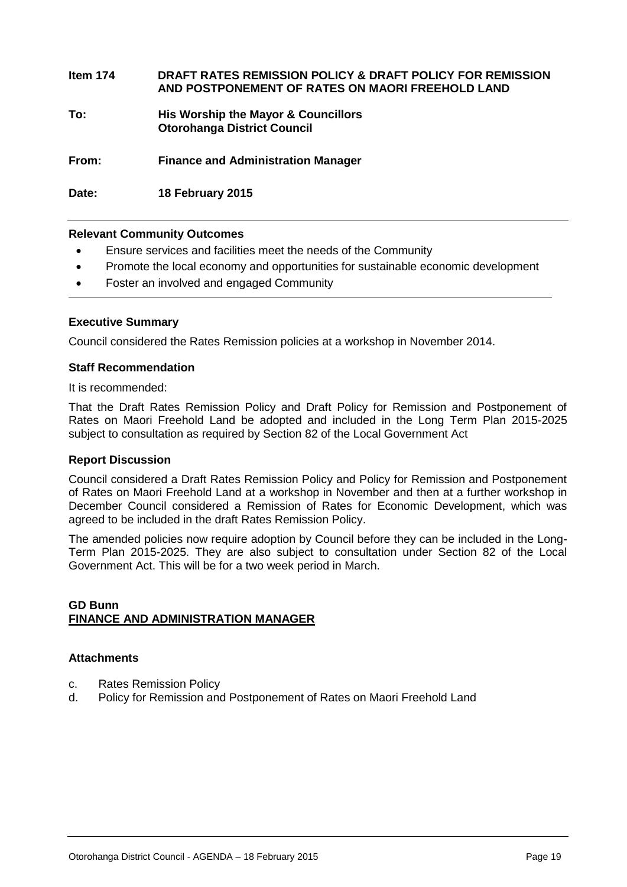**Item 174 DRAFT RATES REMISSION POLICY & DRAFT POLICY FOR REMISSION AND POSTPONEMENT OF RATES ON MAORI FREEHOLD LAND**

**To: His Worship the Mayor & Councillors Otorohanga District Council**

**From: Finance and Administration Manager**

**Date: 18 February 2015**

# **Relevant Community Outcomes**

- Ensure services and facilities meet the needs of the Community
- Promote the local economy and opportunities for sustainable economic development
- Foster an involved and engaged Community

# **Executive Summary**

Council considered the Rates Remission policies at a workshop in November 2014.

# **Staff Recommendation**

It is recommended:

That the Draft Rates Remission Policy and Draft Policy for Remission and Postponement of Rates on Maori Freehold Land be adopted and included in the Long Term Plan 2015-2025 subject to consultation as required by Section 82 of the Local Government Act

# **Report Discussion**

Council considered a Draft Rates Remission Policy and Policy for Remission and Postponement of Rates on Maori Freehold Land at a workshop in November and then at a further workshop in December Council considered a Remission of Rates for Economic Development, which was agreed to be included in the draft Rates Remission Policy.

The amended policies now require adoption by Council before they can be included in the Long-Term Plan 2015-2025. They are also subject to consultation under Section 82 of the Local Government Act. This will be for a two week period in March.

# **GD Bunn FINANCE AND ADMINISTRATION MANAGER**

# **Attachments**

- c. Rates Remission Policy
- d. Policy for Remission and Postponement of Rates on Maori Freehold Land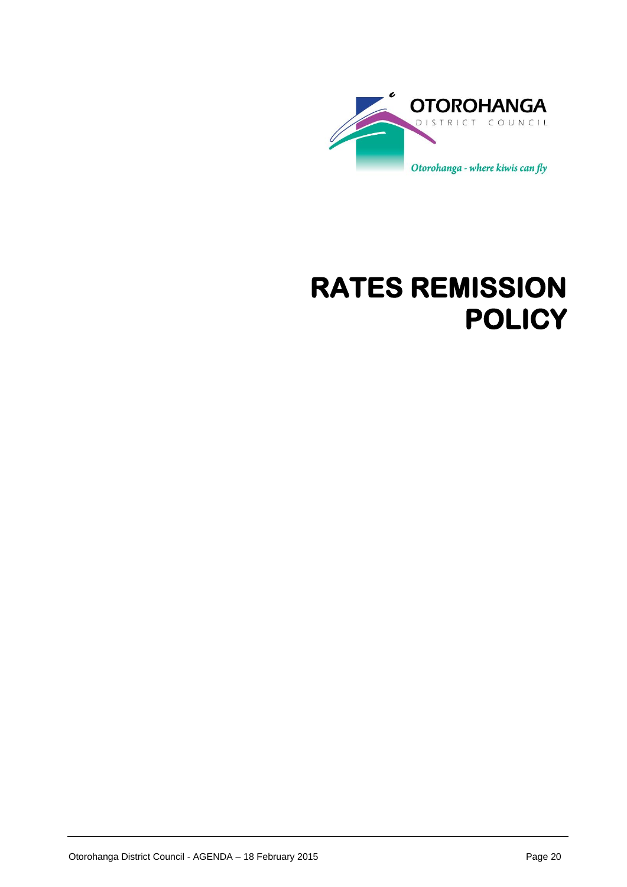

# **RATES REMISSION POLICY**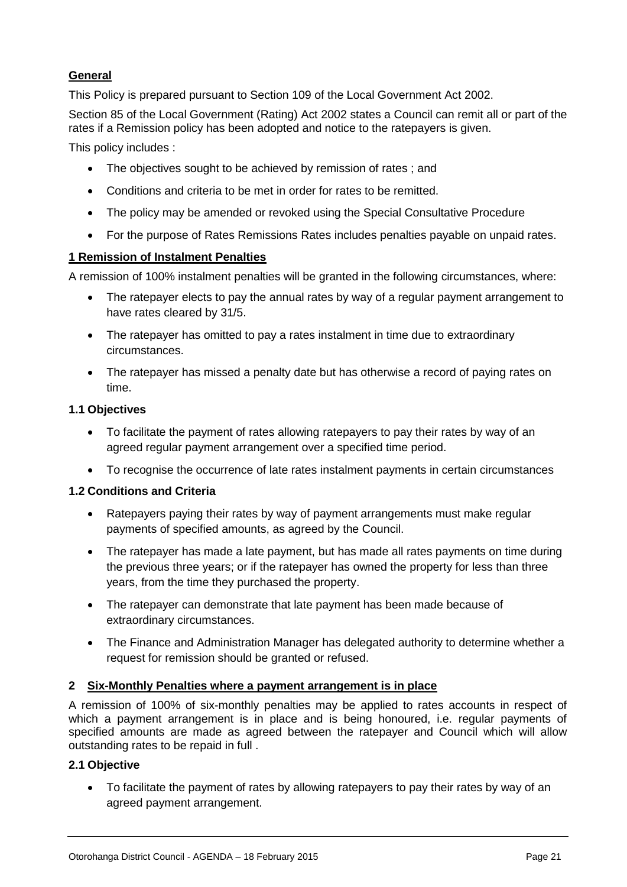# **General**

This Policy is prepared pursuant to Section 109 of the Local Government Act 2002.

Section 85 of the Local Government (Rating) Act 2002 states a Council can remit all or part of the rates if a Remission policy has been adopted and notice to the ratepayers is given.

This policy includes :

- The objectives sought to be achieved by remission of rates : and
- Conditions and criteria to be met in order for rates to be remitted.
- The policy may be amended or revoked using the Special Consultative Procedure
- For the purpose of Rates Remissions Rates includes penalties payable on unpaid rates.

# **1 Remission of Instalment Penalties**

A remission of 100% instalment penalties will be granted in the following circumstances, where:

- The ratepayer elects to pay the annual rates by way of a regular payment arrangement to have rates cleared by 31/5.
- The ratepayer has omitted to pay a rates instalment in time due to extraordinary circumstances.
- The ratepayer has missed a penalty date but has otherwise a record of paying rates on time.

# **1.1 Objectives**

- To facilitate the payment of rates allowing ratepayers to pay their rates by way of an agreed regular payment arrangement over a specified time period.
- To recognise the occurrence of late rates instalment payments in certain circumstances

# **1.2 Conditions and Criteria**

- Ratepayers paying their rates by way of payment arrangements must make regular payments of specified amounts, as agreed by the Council.
- The ratepayer has made a late payment, but has made all rates payments on time during the previous three years; or if the ratepayer has owned the property for less than three years, from the time they purchased the property.
- The ratepayer can demonstrate that late payment has been made because of extraordinary circumstances.
- The Finance and Administration Manager has delegated authority to determine whether a request for remission should be granted or refused.

# **2 Six-Monthly Penalties where a payment arrangement is in place**

A remission of 100% of six-monthly penalties may be applied to rates accounts in respect of which a payment arrangement is in place and is being honoured, i.e. regular payments of specified amounts are made as agreed between the ratepayer and Council which will allow outstanding rates to be repaid in full .

# **2.1 Objective**

 To facilitate the payment of rates by allowing ratepayers to pay their rates by way of an agreed payment arrangement.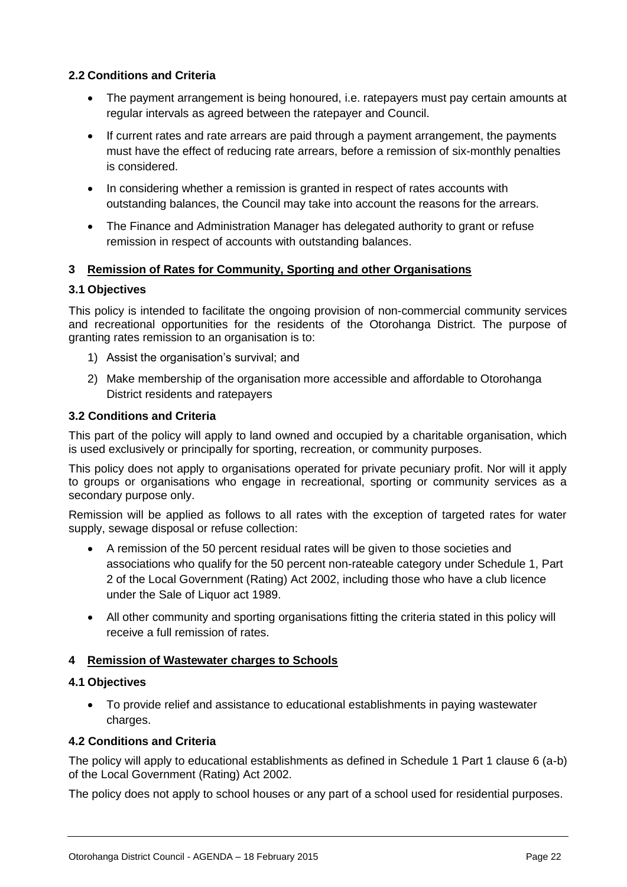# **2.2 Conditions and Criteria**

- The payment arrangement is being honoured, i.e. ratepayers must pay certain amounts at regular intervals as agreed between the ratepayer and Council.
- If current rates and rate arrears are paid through a payment arrangement, the payments must have the effect of reducing rate arrears, before a remission of six-monthly penalties is considered.
- In considering whether a remission is granted in respect of rates accounts with outstanding balances, the Council may take into account the reasons for the arrears.
- The Finance and Administration Manager has delegated authority to grant or refuse remission in respect of accounts with outstanding balances.

# **3 Remission of Rates for Community, Sporting and other Organisations**

# **3.1 Objectives**

This policy is intended to facilitate the ongoing provision of non-commercial community services and recreational opportunities for the residents of the Otorohanga District. The purpose of granting rates remission to an organisation is to:

- 1) Assist the organisation's survival; and
- 2) Make membership of the organisation more accessible and affordable to Otorohanga District residents and ratepayers

# **3.2 Conditions and Criteria**

This part of the policy will apply to land owned and occupied by a charitable organisation, which is used exclusively or principally for sporting, recreation, or community purposes.

This policy does not apply to organisations operated for private pecuniary profit. Nor will it apply to groups or organisations who engage in recreational, sporting or community services as a secondary purpose only.

Remission will be applied as follows to all rates with the exception of targeted rates for water supply, sewage disposal or refuse collection:

- A remission of the 50 percent residual rates will be given to those societies and associations who qualify for the 50 percent non-rateable category under Schedule 1, Part 2 of the Local Government (Rating) Act 2002, including those who have a club licence under the Sale of Liquor act 1989.
- All other community and sporting organisations fitting the criteria stated in this policy will receive a full remission of rates.

# **4 Remission of Wastewater charges to Schools**

# **4.1 Objectives**

 To provide relief and assistance to educational establishments in paying wastewater charges.

# **4.2 Conditions and Criteria**

The policy will apply to educational establishments as defined in Schedule 1 Part 1 clause 6 (a-b) of the Local Government (Rating) Act 2002.

The policy does not apply to school houses or any part of a school used for residential purposes.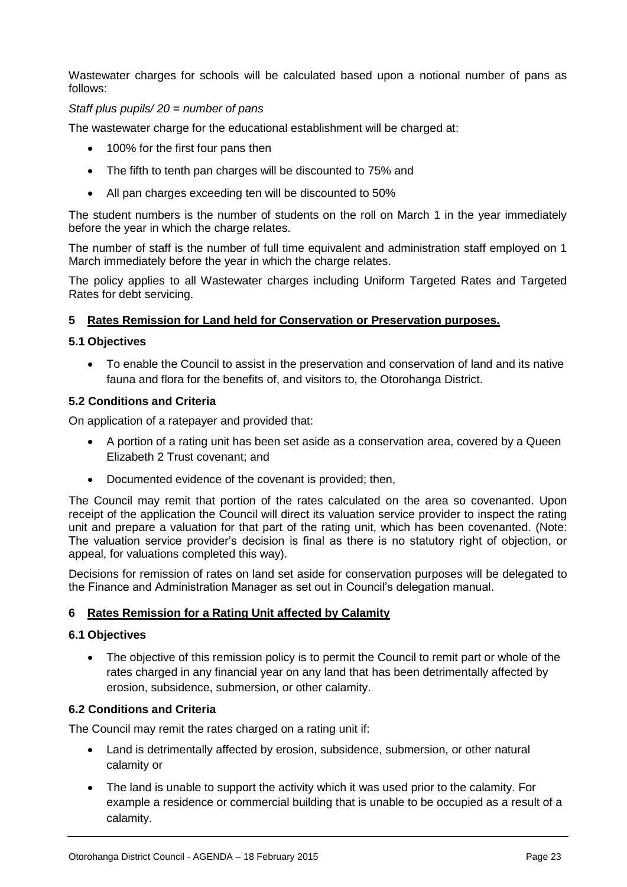Wastewater charges for schools will be calculated based upon a notional number of pans as follows:

# *Staff plus pupils/ 20 = number of pans*

The wastewater charge for the educational establishment will be charged at:

- 100% for the first four pans then
- The fifth to tenth pan charges will be discounted to 75% and
- All pan charges exceeding ten will be discounted to 50%

The student numbers is the number of students on the roll on March 1 in the year immediately before the year in which the charge relates.

The number of staff is the number of full time equivalent and administration staff employed on 1 March immediately before the year in which the charge relates.

The policy applies to all Wastewater charges including Uniform Targeted Rates and Targeted Rates for debt servicing.

# **5 Rates Remission for Land held for Conservation or Preservation purposes.**

# **5.1 Objectives**

 To enable the Council to assist in the preservation and conservation of land and its native fauna and flora for the benefits of, and visitors to, the Otorohanga District.

# **5.2 Conditions and Criteria**

On application of a ratepayer and provided that:

- A portion of a rating unit has been set aside as a conservation area, covered by a Queen Elizabeth 2 Trust covenant; and
- Documented evidence of the covenant is provided; then,

The Council may remit that portion of the rates calculated on the area so covenanted. Upon receipt of the application the Council will direct its valuation service provider to inspect the rating unit and prepare a valuation for that part of the rating unit, which has been covenanted. (Note: The valuation service provider's decision is final as there is no statutory right of objection, or appeal, for valuations completed this way).

Decisions for remission of rates on land set aside for conservation purposes will be delegated to the Finance and Administration Manager as set out in Council's delegation manual.

# **6 Rates Remission for a Rating Unit affected by Calamity**

# **6.1 Objectives**

• The objective of this remission policy is to permit the Council to remit part or whole of the rates charged in any financial year on any land that has been detrimentally affected by erosion, subsidence, submersion, or other calamity.

# **6.2 Conditions and Criteria**

The Council may remit the rates charged on a rating unit if:

- Land is detrimentally affected by erosion, subsidence, submersion, or other natural calamity or
- The land is unable to support the activity which it was used prior to the calamity. For example a residence or commercial building that is unable to be occupied as a result of a calamity.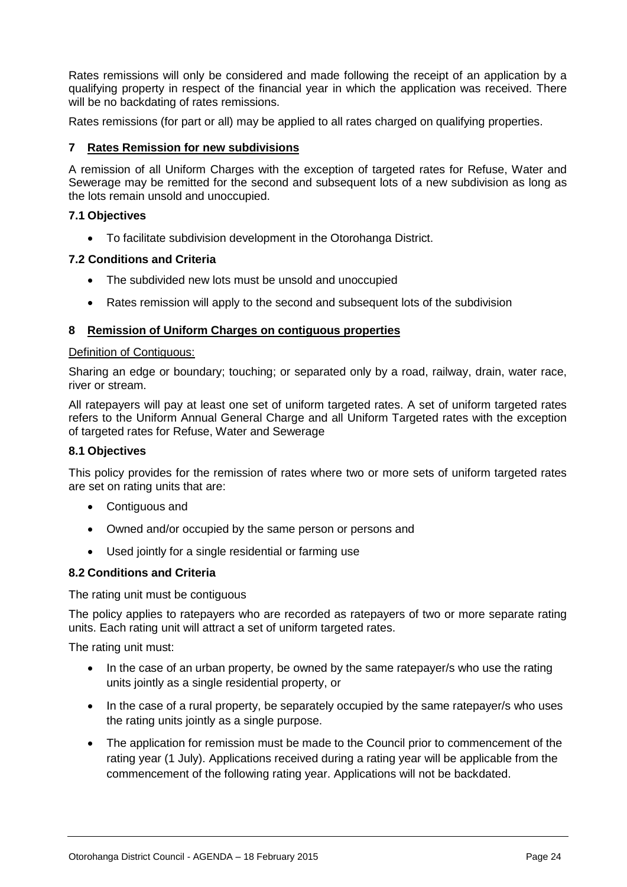Rates remissions will only be considered and made following the receipt of an application by a qualifying property in respect of the financial year in which the application was received. There will be no backdating of rates remissions.

Rates remissions (for part or all) may be applied to all rates charged on qualifying properties.

# **7 Rates Remission for new subdivisions**

A remission of all Uniform Charges with the exception of targeted rates for Refuse, Water and Sewerage may be remitted for the second and subsequent lots of a new subdivision as long as the lots remain unsold and unoccupied.

# **7.1 Objectives**

To facilitate subdivision development in the Otorohanga District.

# **7.2 Conditions and Criteria**

- The subdivided new lots must be unsold and unoccupied
- Rates remission will apply to the second and subsequent lots of the subdivision

# **8 Remission of Uniform Charges on contiguous properties**

# Definition of Contiguous:

Sharing an edge or boundary; touching; or separated only by a road, railway, drain, water race, river or stream.

All ratepayers will pay at least one set of uniform targeted rates. A set of uniform targeted rates refers to the Uniform Annual General Charge and all Uniform Targeted rates with the exception of targeted rates for Refuse, Water and Sewerage

# **8.1 Objectives**

This policy provides for the remission of rates where two or more sets of uniform targeted rates are set on rating units that are:

- Contiguous and
- Owned and/or occupied by the same person or persons and
- Used jointly for a single residential or farming use

# **8.2 Conditions and Criteria**

The rating unit must be contiguous

The policy applies to ratepayers who are recorded as ratepayers of two or more separate rating units. Each rating unit will attract a set of uniform targeted rates.

The rating unit must:

- In the case of an urban property, be owned by the same ratepayer/s who use the rating units jointly as a single residential property, or
- In the case of a rural property, be separately occupied by the same ratepayer/s who uses the rating units jointly as a single purpose.
- The application for remission must be made to the Council prior to commencement of the rating year (1 July). Applications received during a rating year will be applicable from the commencement of the following rating year. Applications will not be backdated.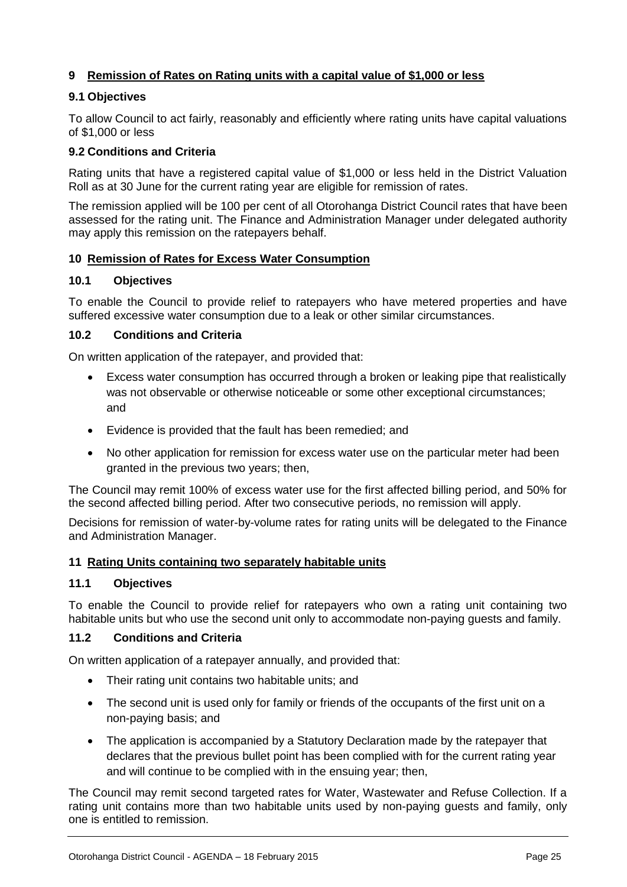# **9 Remission of Rates on Rating units with a capital value of \$1,000 or less**

# **9.1 Objectives**

To allow Council to act fairly, reasonably and efficiently where rating units have capital valuations of \$1,000 or less

# **9.2 Conditions and Criteria**

Rating units that have a registered capital value of \$1,000 or less held in the District Valuation Roll as at 30 June for the current rating year are eligible for remission of rates.

The remission applied will be 100 per cent of all Otorohanga District Council rates that have been assessed for the rating unit. The Finance and Administration Manager under delegated authority may apply this remission on the ratepayers behalf.

# **10 Remission of Rates for Excess Water Consumption**

# **10.1 Objectives**

To enable the Council to provide relief to ratepayers who have metered properties and have suffered excessive water consumption due to a leak or other similar circumstances.

# **10.2 Conditions and Criteria**

On written application of the ratepayer, and provided that:

- Excess water consumption has occurred through a broken or leaking pipe that realistically was not observable or otherwise noticeable or some other exceptional circumstances; and
- Evidence is provided that the fault has been remedied; and
- No other application for remission for excess water use on the particular meter had been granted in the previous two years; then,

The Council may remit 100% of excess water use for the first affected billing period, and 50% for the second affected billing period. After two consecutive periods, no remission will apply.

Decisions for remission of water-by-volume rates for rating units will be delegated to the Finance and Administration Manager.

# **11 Rating Units containing two separately habitable units**

# **11.1 Objectives**

To enable the Council to provide relief for ratepayers who own a rating unit containing two habitable units but who use the second unit only to accommodate non-paying guests and family.

# **11.2 Conditions and Criteria**

On written application of a ratepayer annually, and provided that:

- Their rating unit contains two habitable units; and
- The second unit is used only for family or friends of the occupants of the first unit on a non-paying basis; and
- The application is accompanied by a Statutory Declaration made by the ratepayer that declares that the previous bullet point has been complied with for the current rating year and will continue to be complied with in the ensuing year; then,

The Council may remit second targeted rates for Water, Wastewater and Refuse Collection. If a rating unit contains more than two habitable units used by non-paying guests and family, only one is entitled to remission.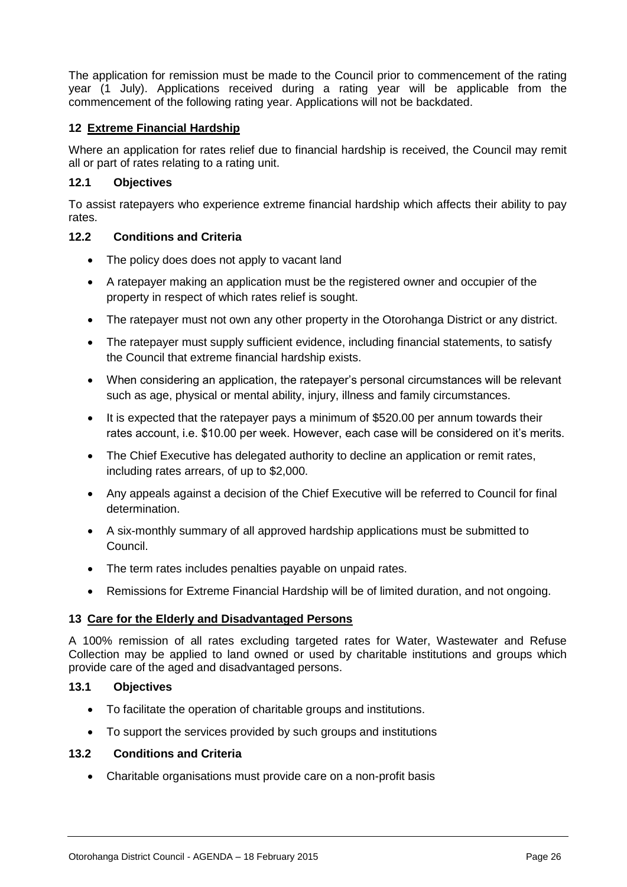The application for remission must be made to the Council prior to commencement of the rating year (1 July). Applications received during a rating year will be applicable from the commencement of the following rating year. Applications will not be backdated.

# **12 Extreme Financial Hardship**

Where an application for rates relief due to financial hardship is received, the Council may remit all or part of rates relating to a rating unit.

# **12.1 Objectives**

To assist ratepayers who experience extreme financial hardship which affects their ability to pay rates.

# **12.2 Conditions and Criteria**

- The policy does does not apply to vacant land
- A ratepayer making an application must be the registered owner and occupier of the property in respect of which rates relief is sought.
- The ratepayer must not own any other property in the Otorohanga District or any district.
- The ratepayer must supply sufficient evidence, including financial statements, to satisfy the Council that extreme financial hardship exists.
- When considering an application, the ratepayer's personal circumstances will be relevant such as age, physical or mental ability, injury, illness and family circumstances.
- It is expected that the ratepayer pays a minimum of \$520.00 per annum towards their rates account, i.e. \$10.00 per week. However, each case will be considered on it's merits.
- The Chief Executive has delegated authority to decline an application or remit rates, including rates arrears, of up to \$2,000.
- Any appeals against a decision of the Chief Executive will be referred to Council for final determination.
- A six-monthly summary of all approved hardship applications must be submitted to Council.
- The term rates includes penalties payable on unpaid rates.
- Remissions for Extreme Financial Hardship will be of limited duration, and not ongoing.

# **13 Care for the Elderly and Disadvantaged Persons**

A 100% remission of all rates excluding targeted rates for Water, Wastewater and Refuse Collection may be applied to land owned or used by charitable institutions and groups which provide care of the aged and disadvantaged persons.

# **13.1 Objectives**

- To facilitate the operation of charitable groups and institutions.
- To support the services provided by such groups and institutions

# **13.2 Conditions and Criteria**

Charitable organisations must provide care on a non-profit basis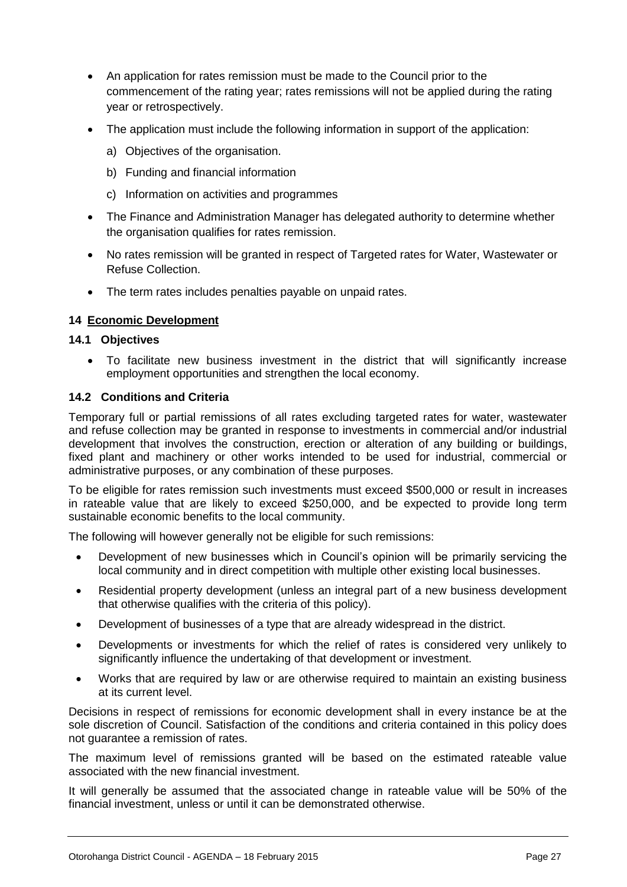- An application for rates remission must be made to the Council prior to the commencement of the rating year; rates remissions will not be applied during the rating year or retrospectively.
- The application must include the following information in support of the application:
	- a) Objectives of the organisation.
	- b) Funding and financial information
	- c) Information on activities and programmes
- The Finance and Administration Manager has delegated authority to determine whether the organisation qualifies for rates remission.
- No rates remission will be granted in respect of Targeted rates for Water, Wastewater or Refuse Collection.
- The term rates includes penalties payable on unpaid rates.

# **14 Economic Development**

# **14.1 Objectives**

 To facilitate new business investment in the district that will significantly increase employment opportunities and strengthen the local economy.

# **14.2 Conditions and Criteria**

Temporary full or partial remissions of all rates excluding targeted rates for water, wastewater and refuse collection may be granted in response to investments in commercial and/or industrial development that involves the construction, erection or alteration of any building or buildings, fixed plant and machinery or other works intended to be used for industrial, commercial or administrative purposes, or any combination of these purposes.

To be eligible for rates remission such investments must exceed \$500,000 or result in increases in rateable value that are likely to exceed \$250,000, and be expected to provide long term sustainable economic benefits to the local community.

The following will however generally not be eligible for such remissions:

- Development of new businesses which in Council's opinion will be primarily servicing the local community and in direct competition with multiple other existing local businesses.
- Residential property development (unless an integral part of a new business development that otherwise qualifies with the criteria of this policy).
- Development of businesses of a type that are already widespread in the district.
- Developments or investments for which the relief of rates is considered very unlikely to significantly influence the undertaking of that development or investment.
- Works that are required by law or are otherwise required to maintain an existing business at its current level.

Decisions in respect of remissions for economic development shall in every instance be at the sole discretion of Council. Satisfaction of the conditions and criteria contained in this policy does not guarantee a remission of rates.

The maximum level of remissions granted will be based on the estimated rateable value associated with the new financial investment.

It will generally be assumed that the associated change in rateable value will be 50% of the financial investment, unless or until it can be demonstrated otherwise.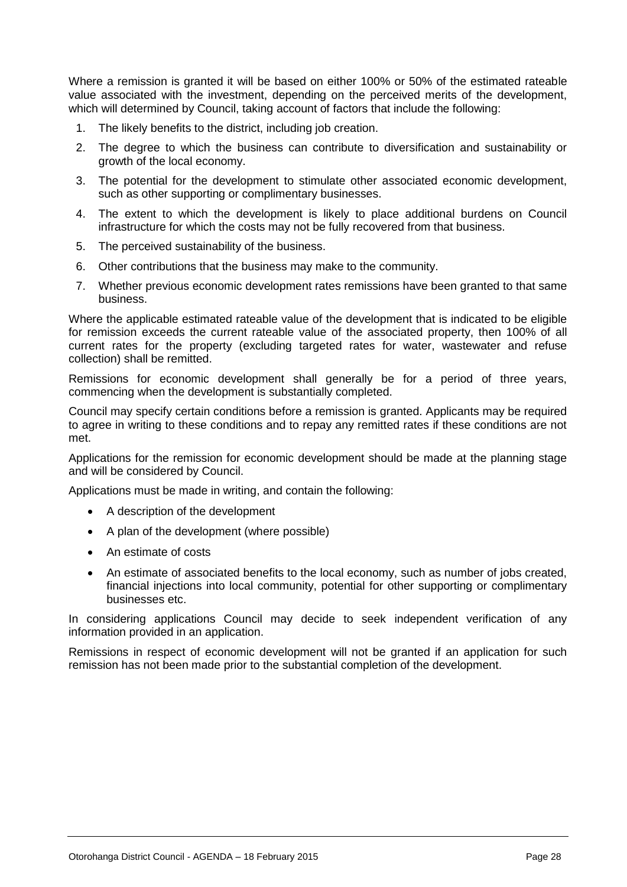Where a remission is granted it will be based on either 100% or 50% of the estimated rateable value associated with the investment, depending on the perceived merits of the development, which will determined by Council, taking account of factors that include the following:

- 1. The likely benefits to the district, including job creation.
- 2. The degree to which the business can contribute to diversification and sustainability or growth of the local economy.
- 3. The potential for the development to stimulate other associated economic development, such as other supporting or complimentary businesses.
- 4. The extent to which the development is likely to place additional burdens on Council infrastructure for which the costs may not be fully recovered from that business.
- 5. The perceived sustainability of the business.
- 6. Other contributions that the business may make to the community.
- 7. Whether previous economic development rates remissions have been granted to that same business.

Where the applicable estimated rateable value of the development that is indicated to be eligible for remission exceeds the current rateable value of the associated property, then 100% of all current rates for the property (excluding targeted rates for water, wastewater and refuse collection) shall be remitted.

Remissions for economic development shall generally be for a period of three years, commencing when the development is substantially completed.

Council may specify certain conditions before a remission is granted. Applicants may be required to agree in writing to these conditions and to repay any remitted rates if these conditions are not met.

Applications for the remission for economic development should be made at the planning stage and will be considered by Council.

Applications must be made in writing, and contain the following:

- A description of the development
- A plan of the development (where possible)
- An estimate of costs
- An estimate of associated benefits to the local economy, such as number of jobs created, financial injections into local community, potential for other supporting or complimentary businesses etc.

In considering applications Council may decide to seek independent verification of any information provided in an application.

Remissions in respect of economic development will not be granted if an application for such remission has not been made prior to the substantial completion of the development.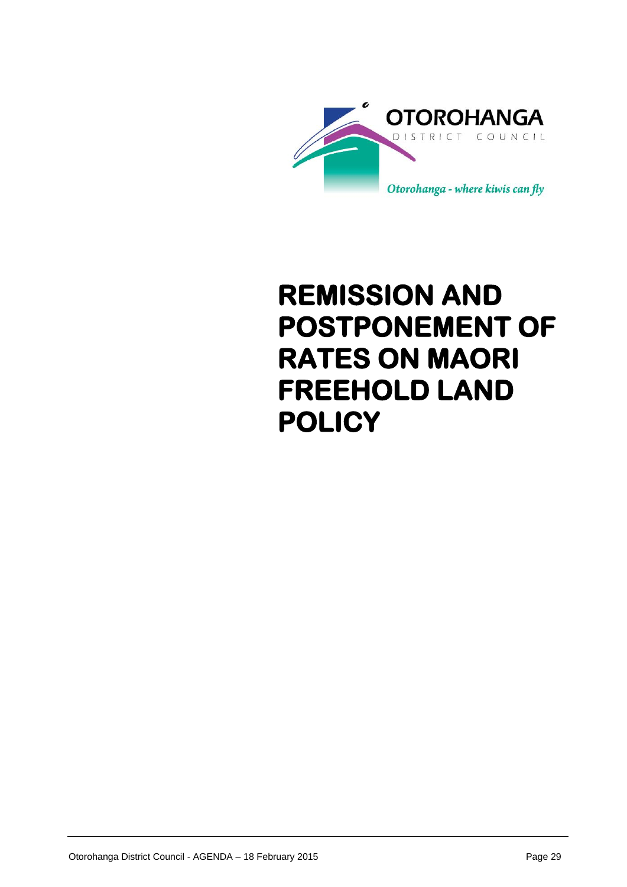

# **REMISSION AND POSTPONEMENT OF RATES ON MAORI FREEHOLD LAND POLICY**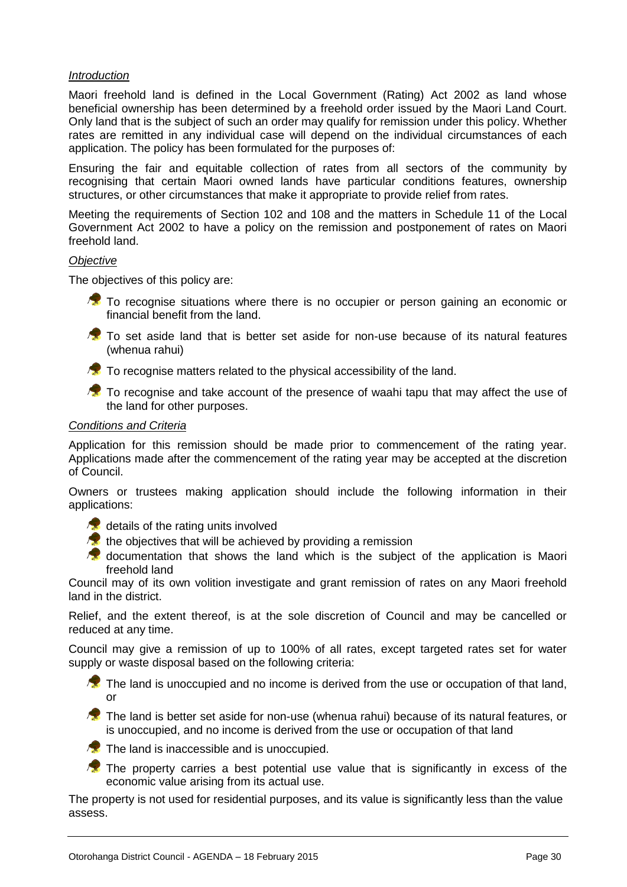# *Introduction*

Maori freehold land is defined in the Local Government (Rating) Act 2002 as land whose beneficial ownership has been determined by a freehold order issued by the Maori Land Court. Only land that is the subject of such an order may qualify for remission under this policy. Whether rates are remitted in any individual case will depend on the individual circumstances of each application. The policy has been formulated for the purposes of:

Ensuring the fair and equitable collection of rates from all sectors of the community by recognising that certain Maori owned lands have particular conditions features, ownership structures, or other circumstances that make it appropriate to provide relief from rates.

Meeting the requirements of Section 102 and 108 and the matters in Schedule 11 of the Local Government Act 2002 to have a policy on the remission and postponement of rates on Maori freehold land.

# *Objective*

The objectives of this policy are:

**To recognise situations where there is no occupier or person gaining an economic or** financial benefit from the land.

- **To** set aside land that is better set aside for non-use because of its natural features (whenua rahui)
- $\sqrt{\bullet}$  To recognise matters related to the physical accessibility of the land.

To recognise and take account of the presence of waahi tapu that may affect the use of the land for other purposes.

# *Conditions and Criteria*

Application for this remission should be made prior to commencement of the rating year. Applications made after the commencement of the rating year may be accepted at the discretion of Council.

Owners or trustees making application should include the following information in their applications:

 $\sqrt{2}$  details of the rating units involved

- $\sqrt{2}$  the objectives that will be achieved by providing a remission
- **C** documentation that shows the land which is the subject of the application is Maori freehold land

Council may of its own volition investigate and grant remission of rates on any Maori freehold land in the district.

Relief, and the extent thereof, is at the sole discretion of Council and may be cancelled or reduced at any time.

Council may give a remission of up to 100% of all rates, except targeted rates set for water supply or waste disposal based on the following criteria:

 $\sqrt{\bullet}$  The land is unoccupied and no income is derived from the use or occupation of that land, or

**The land is better set aside for non-use (whenua rahui) because of its natural features, or** is unoccupied, and no income is derived from the use or occupation of that land

 $\sqrt{\mathbf{x}}$  The land is inaccessible and is unoccupied.

 $\sqrt{2}$  The property carries a best potential use value that is significantly in excess of the economic value arising from its actual use.

The property is not used for residential purposes, and its value is significantly less than the value assess.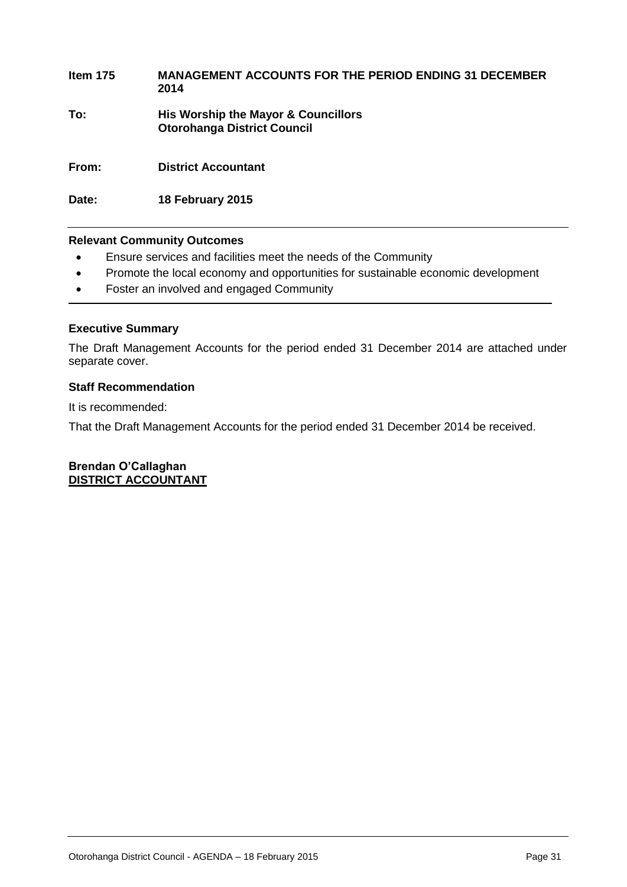# **Item 175 MANAGEMENT ACCOUNTS FOR THE PERIOD ENDING 31 DECEMBER 2014 To: His Worship the Mayor & Councillors Otorohanga District Council From: District Accountant**

**Date: 18 February 2015**

# **Relevant Community Outcomes**

- Ensure services and facilities meet the needs of the Community
- Promote the local economy and opportunities for sustainable economic development
- Foster an involved and engaged Community

# **Executive Summary**

The Draft Management Accounts for the period ended 31 December 2014 are attached under separate cover.

# **Staff Recommendation**

It is recommended:

That the Draft Management Accounts for the period ended 31 December 2014 be received.

**Brendan O'Callaghan DISTRICT ACCOUNTANT**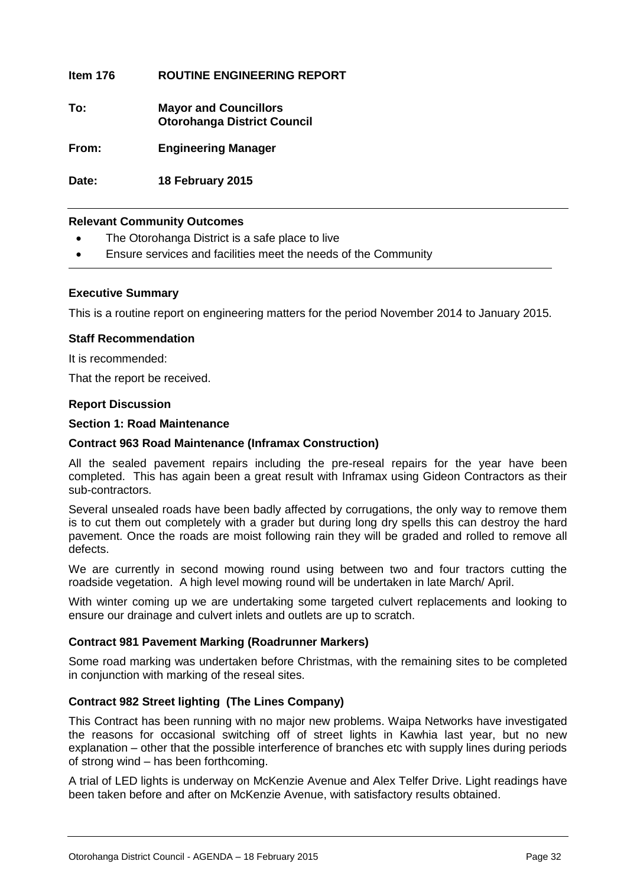# **Item 176 ROUTINE ENGINEERING REPORT**

**To: Mayor and Councillors Otorohanga District Council**

**From: Engineering Manager**

**Date: 18 February 2015**

# **Relevant Community Outcomes**

- The Otorohanga District is a safe place to live
- Ensure services and facilities meet the needs of the Community

# **Executive Summary**

This is a routine report on engineering matters for the period November 2014 to January 2015.

# **Staff Recommendation**

It is recommended:

That the report be received.

# **Report Discussion**

# **Section 1: Road Maintenance**

# **Contract 963 Road Maintenance (Inframax Construction)**

All the sealed pavement repairs including the pre-reseal repairs for the year have been completed. This has again been a great result with Inframax using Gideon Contractors as their sub-contractors.

Several unsealed roads have been badly affected by corrugations, the only way to remove them is to cut them out completely with a grader but during long dry spells this can destroy the hard pavement. Once the roads are moist following rain they will be graded and rolled to remove all defects.

We are currently in second mowing round using between two and four tractors cutting the roadside vegetation. A high level mowing round will be undertaken in late March/ April.

With winter coming up we are undertaking some targeted culvert replacements and looking to ensure our drainage and culvert inlets and outlets are up to scratch.

# **Contract 981 Pavement Marking (Roadrunner Markers)**

Some road marking was undertaken before Christmas, with the remaining sites to be completed in conjunction with marking of the reseal sites.

# **Contract 982 Street lighting (The Lines Company)**

This Contract has been running with no major new problems. Waipa Networks have investigated the reasons for occasional switching off of street lights in Kawhia last year, but no new explanation – other that the possible interference of branches etc with supply lines during periods of strong wind – has been forthcoming.

A trial of LED lights is underway on McKenzie Avenue and Alex Telfer Drive. Light readings have been taken before and after on McKenzie Avenue, with satisfactory results obtained.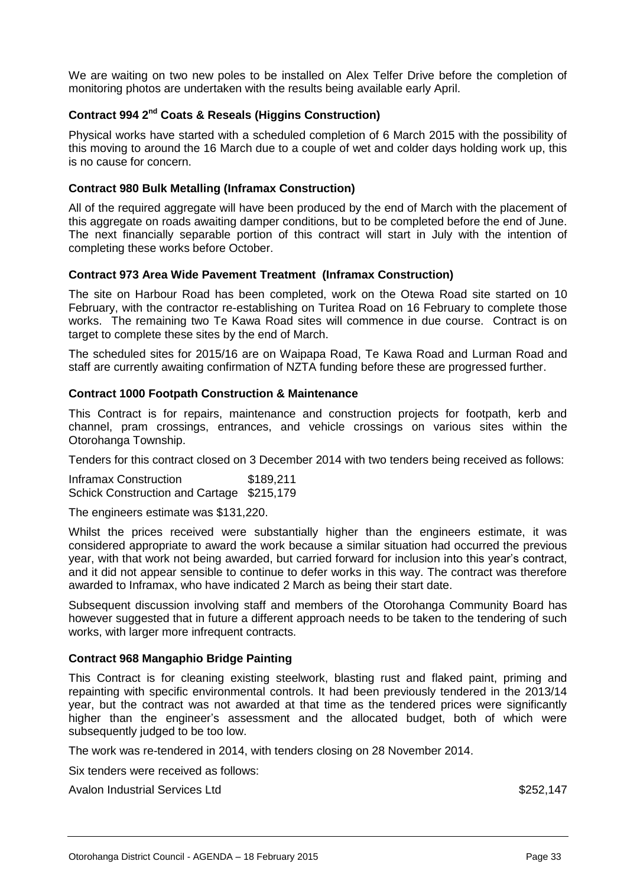We are waiting on two new poles to be installed on Alex Telfer Drive before the completion of monitoring photos are undertaken with the results being available early April.

# **Contract 994 2nd Coats & Reseals (Higgins Construction)**

Physical works have started with a scheduled completion of 6 March 2015 with the possibility of this moving to around the 16 March due to a couple of wet and colder days holding work up, this is no cause for concern.

# **Contract 980 Bulk Metalling (Inframax Construction)**

All of the required aggregate will have been produced by the end of March with the placement of this aggregate on roads awaiting damper conditions, but to be completed before the end of June. The next financially separable portion of this contract will start in July with the intention of completing these works before October.

# **Contract 973 Area Wide Pavement Treatment (Inframax Construction)**

The site on Harbour Road has been completed, work on the Otewa Road site started on 10 February, with the contractor re-establishing on Turitea Road on 16 February to complete those works. The remaining two Te Kawa Road sites will commence in due course. Contract is on target to complete these sites by the end of March.

The scheduled sites for 2015/16 are on Waipapa Road, Te Kawa Road and Lurman Road and staff are currently awaiting confirmation of NZTA funding before these are progressed further.

# **Contract 1000 Footpath Construction & Maintenance**

This Contract is for repairs, maintenance and construction projects for footpath, kerb and channel, pram crossings, entrances, and vehicle crossings on various sites within the Otorohanga Township.

Tenders for this contract closed on 3 December 2014 with two tenders being received as follows:

Inframax Construction \$189,211 Schick Construction and Cartage \$215,179

The engineers estimate was \$131,220.

Whilst the prices received were substantially higher than the engineers estimate, it was considered appropriate to award the work because a similar situation had occurred the previous year, with that work not being awarded, but carried forward for inclusion into this year's contract, and it did not appear sensible to continue to defer works in this way. The contract was therefore awarded to Inframax, who have indicated 2 March as being their start date.

Subsequent discussion involving staff and members of the Otorohanga Community Board has however suggested that in future a different approach needs to be taken to the tendering of such works, with larger more infrequent contracts.

# **Contract 968 Mangaphio Bridge Painting**

This Contract is for cleaning existing steelwork, blasting rust and flaked paint, priming and repainting with specific environmental controls. It had been previously tendered in the 2013/14 year, but the contract was not awarded at that time as the tendered prices were significantly higher than the engineer's assessment and the allocated budget, both of which were subsequently judged to be too low.

The work was re-tendered in 2014, with tenders closing on 28 November 2014.

Six tenders were received as follows:

Avalon Industrial Services Ltd **\$252,147** and \$252,147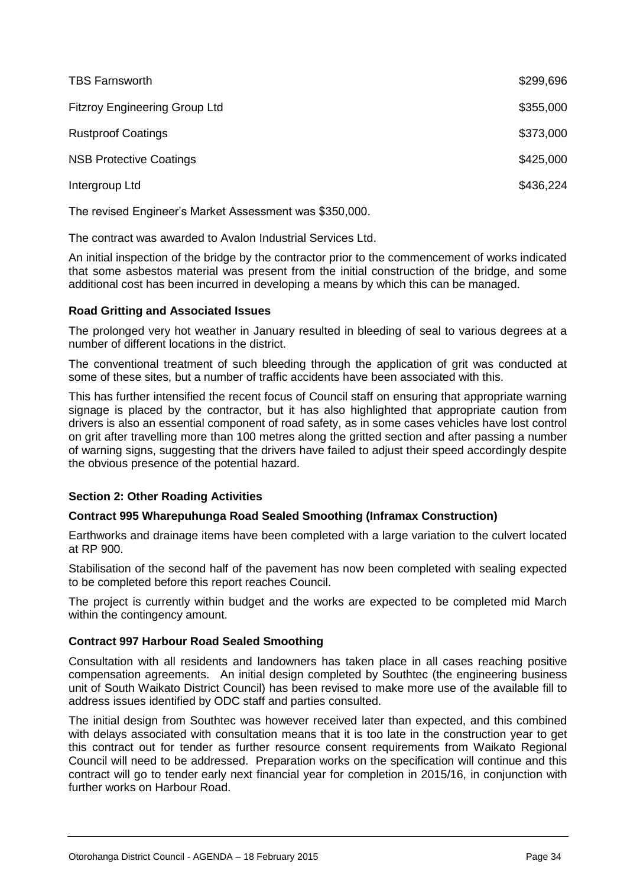| <b>TBS Farnsworth</b>                | \$299,696 |
|--------------------------------------|-----------|
| <b>Fitzroy Engineering Group Ltd</b> | \$355,000 |
| <b>Rustproof Coatings</b>            | \$373,000 |
| <b>NSB Protective Coatings</b>       | \$425,000 |
| Intergroup Ltd                       | \$436,224 |
|                                      |           |

The revised Engineer's Market Assessment was \$350,000.

The contract was awarded to Avalon Industrial Services Ltd.

An initial inspection of the bridge by the contractor prior to the commencement of works indicated that some asbestos material was present from the initial construction of the bridge, and some additional cost has been incurred in developing a means by which this can be managed.

# **Road Gritting and Associated Issues**

The prolonged very hot weather in January resulted in bleeding of seal to various degrees at a number of different locations in the district.

The conventional treatment of such bleeding through the application of grit was conducted at some of these sites, but a number of traffic accidents have been associated with this.

This has further intensified the recent focus of Council staff on ensuring that appropriate warning signage is placed by the contractor, but it has also highlighted that appropriate caution from drivers is also an essential component of road safety, as in some cases vehicles have lost control on grit after travelling more than 100 metres along the gritted section and after passing a number of warning signs, suggesting that the drivers have failed to adjust their speed accordingly despite the obvious presence of the potential hazard.

# **Section 2: Other Roading Activities**

# **Contract 995 Wharepuhunga Road Sealed Smoothing (Inframax Construction)**

Earthworks and drainage items have been completed with a large variation to the culvert located at RP 900.

Stabilisation of the second half of the pavement has now been completed with sealing expected to be completed before this report reaches Council.

The project is currently within budget and the works are expected to be completed mid March within the contingency amount.

# **Contract 997 Harbour Road Sealed Smoothing**

Consultation with all residents and landowners has taken place in all cases reaching positive compensation agreements. An initial design completed by Southtec (the engineering business unit of South Waikato District Council) has been revised to make more use of the available fill to address issues identified by ODC staff and parties consulted.

The initial design from Southtec was however received later than expected, and this combined with delays associated with consultation means that it is too late in the construction year to get this contract out for tender as further resource consent requirements from Waikato Regional Council will need to be addressed. Preparation works on the specification will continue and this contract will go to tender early next financial year for completion in 2015/16, in conjunction with further works on Harbour Road.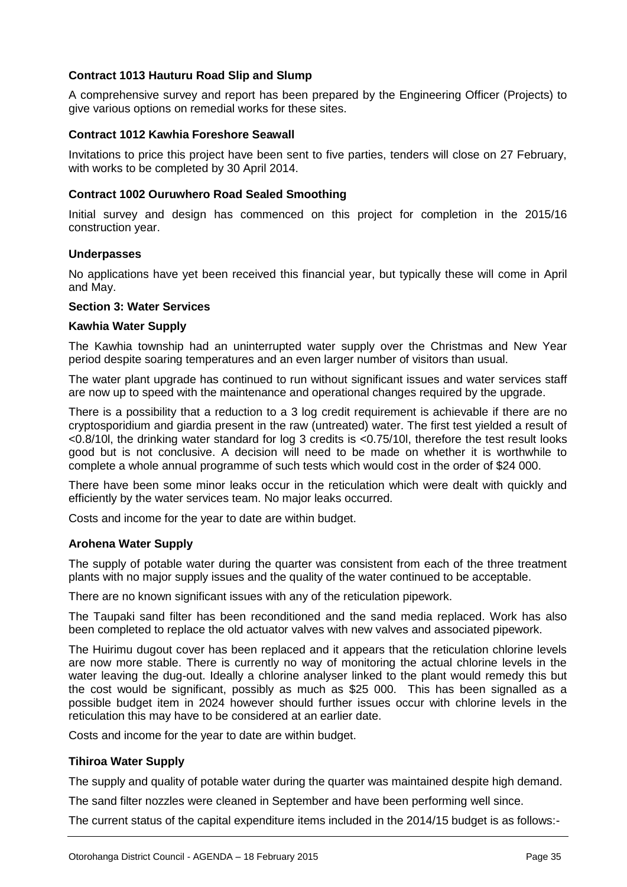# **Contract 1013 Hauturu Road Slip and Slump**

A comprehensive survey and report has been prepared by the Engineering Officer (Projects) to give various options on remedial works for these sites.

# **Contract 1012 Kawhia Foreshore Seawall**

Invitations to price this project have been sent to five parties, tenders will close on 27 February, with works to be completed by 30 April 2014.

# **Contract 1002 Ouruwhero Road Sealed Smoothing**

Initial survey and design has commenced on this project for completion in the 2015/16 construction year.

# **Underpasses**

No applications have yet been received this financial year, but typically these will come in April and May.

# **Section 3: Water Services**

# **Kawhia Water Supply**

The Kawhia township had an uninterrupted water supply over the Christmas and New Year period despite soaring temperatures and an even larger number of visitors than usual.

The water plant upgrade has continued to run without significant issues and water services staff are now up to speed with the maintenance and operational changes required by the upgrade.

There is a possibility that a reduction to a 3 log credit requirement is achievable if there are no cryptosporidium and giardia present in the raw (untreated) water. The first test yielded a result of <0.8/10l, the drinking water standard for log 3 credits is <0.75/10l, therefore the test result looks good but is not conclusive. A decision will need to be made on whether it is worthwhile to complete a whole annual programme of such tests which would cost in the order of \$24 000.

There have been some minor leaks occur in the reticulation which were dealt with quickly and efficiently by the water services team. No major leaks occurred.

Costs and income for the year to date are within budget.

# **Arohena Water Supply**

The supply of potable water during the quarter was consistent from each of the three treatment plants with no major supply issues and the quality of the water continued to be acceptable.

There are no known significant issues with any of the reticulation pipework.

The Taupaki sand filter has been reconditioned and the sand media replaced. Work has also been completed to replace the old actuator valves with new valves and associated pipework.

The Huirimu dugout cover has been replaced and it appears that the reticulation chlorine levels are now more stable. There is currently no way of monitoring the actual chlorine levels in the water leaving the dug-out. Ideally a chlorine analyser linked to the plant would remedy this but the cost would be significant, possibly as much as \$25 000. This has been signalled as a possible budget item in 2024 however should further issues occur with chlorine levels in the reticulation this may have to be considered at an earlier date.

Costs and income for the year to date are within budget.

# **Tihiroa Water Supply**

The supply and quality of potable water during the quarter was maintained despite high demand.

The sand filter nozzles were cleaned in September and have been performing well since.

The current status of the capital expenditure items included in the 2014/15 budget is as follows:-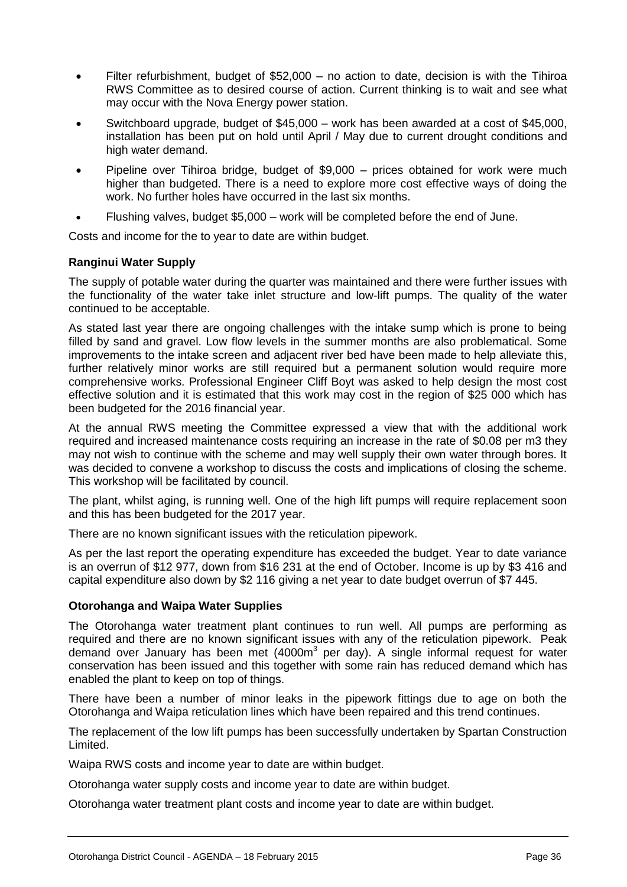- Filter refurbishment, budget of \$52,000 no action to date, decision is with the Tihiroa RWS Committee as to desired course of action. Current thinking is to wait and see what may occur with the Nova Energy power station.
- Switchboard upgrade, budget of \$45,000 work has been awarded at a cost of \$45,000, installation has been put on hold until April / May due to current drought conditions and high water demand.
- Pipeline over Tihiroa bridge, budget of \$9,000 prices obtained for work were much higher than budgeted. There is a need to explore more cost effective ways of doing the work. No further holes have occurred in the last six months.
- Flushing valves, budget \$5,000 work will be completed before the end of June.

Costs and income for the to year to date are within budget.

# **Ranginui Water Supply**

The supply of potable water during the quarter was maintained and there were further issues with the functionality of the water take inlet structure and low-lift pumps. The quality of the water continued to be acceptable.

As stated last year there are ongoing challenges with the intake sump which is prone to being filled by sand and gravel. Low flow levels in the summer months are also problematical. Some improvements to the intake screen and adjacent river bed have been made to help alleviate this, further relatively minor works are still required but a permanent solution would require more comprehensive works. Professional Engineer Cliff Boyt was asked to help design the most cost effective solution and it is estimated that this work may cost in the region of \$25 000 which has been budgeted for the 2016 financial year.

At the annual RWS meeting the Committee expressed a view that with the additional work required and increased maintenance costs requiring an increase in the rate of \$0.08 per m3 they may not wish to continue with the scheme and may well supply their own water through bores. It was decided to convene a workshop to discuss the costs and implications of closing the scheme. This workshop will be facilitated by council.

The plant, whilst aging, is running well. One of the high lift pumps will require replacement soon and this has been budgeted for the 2017 year.

There are no known significant issues with the reticulation pipework.

As per the last report the operating expenditure has exceeded the budget. Year to date variance is an overrun of \$12 977, down from \$16 231 at the end of October. Income is up by \$3 416 and capital expenditure also down by \$2 116 giving a net year to date budget overrun of \$7 445.

# **Otorohanga and Waipa Water Supplies**

The Otorohanga water treatment plant continues to run well. All pumps are performing as required and there are no known significant issues with any of the reticulation pipework. Peak demand over January has been met (4000m<sup>3</sup> per day). A single informal request for water conservation has been issued and this together with some rain has reduced demand which has enabled the plant to keep on top of things.

There have been a number of minor leaks in the pipework fittings due to age on both the Otorohanga and Waipa reticulation lines which have been repaired and this trend continues.

The replacement of the low lift pumps has been successfully undertaken by Spartan Construction Limited.

Waipa RWS costs and income year to date are within budget.

Otorohanga water supply costs and income year to date are within budget.

Otorohanga water treatment plant costs and income year to date are within budget.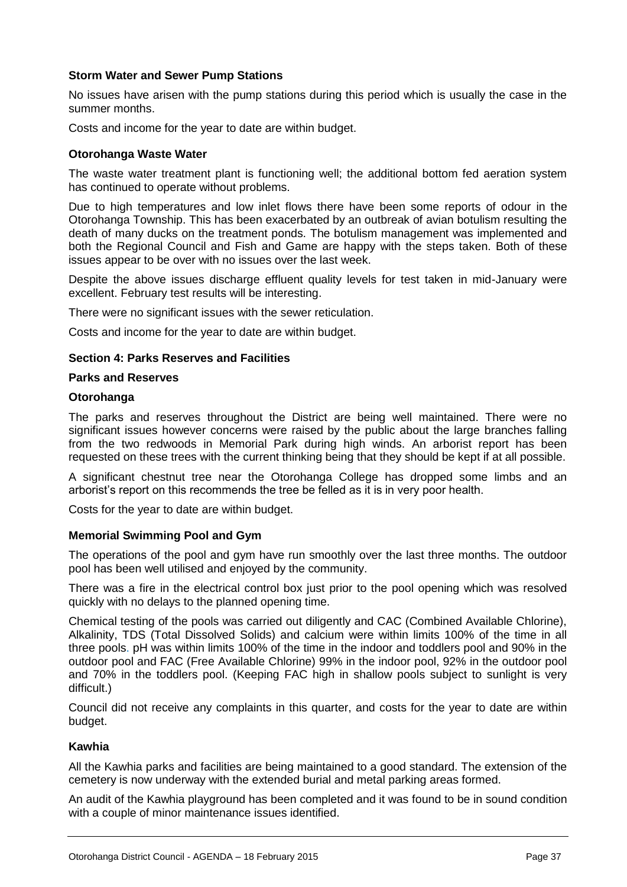# **Storm Water and Sewer Pump Stations**

No issues have arisen with the pump stations during this period which is usually the case in the summer months.

Costs and income for the year to date are within budget.

# **Otorohanga Waste Water**

The waste water treatment plant is functioning well; the additional bottom fed aeration system has continued to operate without problems.

Due to high temperatures and low inlet flows there have been some reports of odour in the Otorohanga Township. This has been exacerbated by an outbreak of avian botulism resulting the death of many ducks on the treatment ponds. The botulism management was implemented and both the Regional Council and Fish and Game are happy with the steps taken. Both of these issues appear to be over with no issues over the last week.

Despite the above issues discharge effluent quality levels for test taken in mid-January were excellent. February test results will be interesting.

There were no significant issues with the sewer reticulation.

Costs and income for the year to date are within budget.

# **Section 4: Parks Reserves and Facilities**

# **Parks and Reserves**

# **Otorohanga**

The parks and reserves throughout the District are being well maintained. There were no significant issues however concerns were raised by the public about the large branches falling from the two redwoods in Memorial Park during high winds. An arborist report has been requested on these trees with the current thinking being that they should be kept if at all possible.

A significant chestnut tree near the Otorohanga College has dropped some limbs and an arborist's report on this recommends the tree be felled as it is in very poor health.

Costs for the year to date are within budget.

# **Memorial Swimming Pool and Gym**

The operations of the pool and gym have run smoothly over the last three months. The outdoor pool has been well utilised and enjoyed by the community.

There was a fire in the electrical control box just prior to the pool opening which was resolved quickly with no delays to the planned opening time.

Chemical testing of the pools was carried out diligently and CAC (Combined Available Chlorine), Alkalinity, TDS (Total Dissolved Solids) and calcium were within limits 100% of the time in all three pools. pH was within limits 100% of the time in the indoor and toddlers pool and 90% in the outdoor pool and FAC (Free Available Chlorine) 99% in the indoor pool, 92% in the outdoor pool and 70% in the toddlers pool. (Keeping FAC high in shallow pools subject to sunlight is very difficult.)

Council did not receive any complaints in this quarter, and costs for the year to date are within budget.

# **Kawhia**

All the Kawhia parks and facilities are being maintained to a good standard. The extension of the cemetery is now underway with the extended burial and metal parking areas formed.

An audit of the Kawhia playground has been completed and it was found to be in sound condition with a couple of minor maintenance issues identified.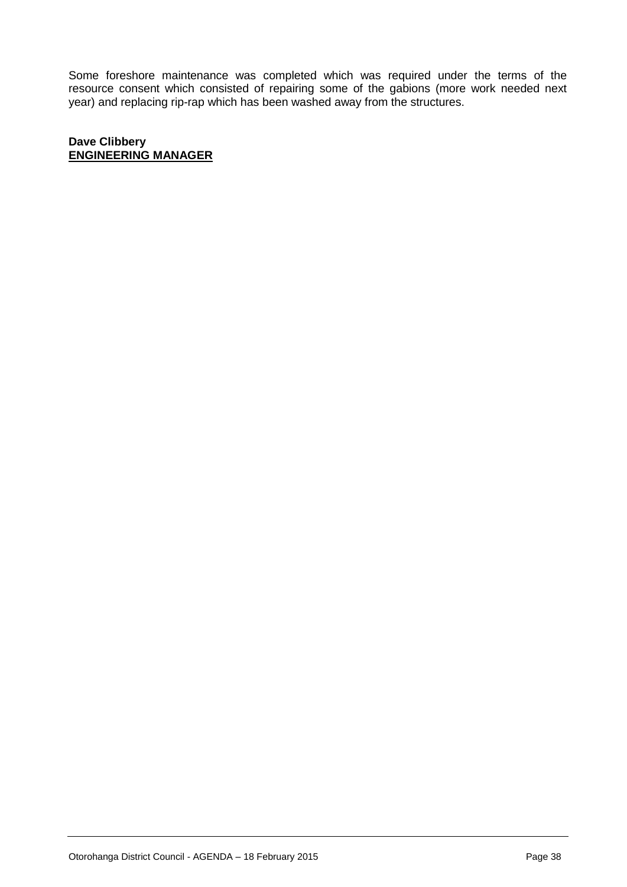Some foreshore maintenance was completed which was required under the terms of the resource consent which consisted of repairing some of the gabions (more work needed next year) and replacing rip-rap which has been washed away from the structures.

**Dave Clibbery ENGINEERING MANAGER**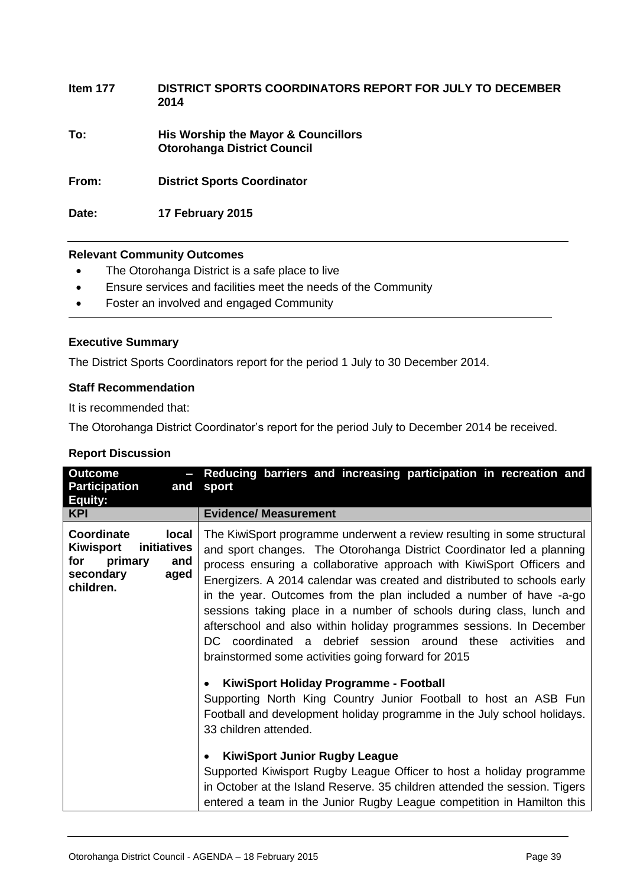| Item 177 | DISTRICT SPORTS COORDINATORS REPORT FOR JULY TO DECEMBER<br>2014          |
|----------|---------------------------------------------------------------------------|
| To:      | His Worship the Mayor & Councillors<br><b>Otorohanga District Council</b> |
| From:    | <b>District Sports Coordinator</b>                                        |
| Date:    | 17 February 2015                                                          |

# **Relevant Community Outcomes**

- The Otorohanga District is a safe place to live
- Ensure services and facilities meet the needs of the Community
- Foster an involved and engaged Community

# **Executive Summary**

The District Sports Coordinators report for the period 1 July to 30 December 2014.

# **Staff Recommendation**

It is recommended that:

The Otorohanga District Coordinator's report for the period July to December 2014 be received.

# **Report Discussion**

| <b>Outcome</b><br><b>Participation</b><br>and<br>Equity:                                                          | - Reducing barriers and increasing participation in recreation and<br>sport                                                                                                                                                                                                                                                                                                                                                                                                                                                                                                                                                                         |
|-------------------------------------------------------------------------------------------------------------------|-----------------------------------------------------------------------------------------------------------------------------------------------------------------------------------------------------------------------------------------------------------------------------------------------------------------------------------------------------------------------------------------------------------------------------------------------------------------------------------------------------------------------------------------------------------------------------------------------------------------------------------------------------|
| <b>KPI</b>                                                                                                        | <b>Evidence/ Measurement</b>                                                                                                                                                                                                                                                                                                                                                                                                                                                                                                                                                                                                                        |
| Coordinate<br>local<br><b>Kiwisport</b><br>initiatives<br>for<br>primary<br>and<br>secondary<br>aged<br>children. | The KiwiSport programme underwent a review resulting in some structural<br>and sport changes. The Otorohanga District Coordinator led a planning<br>process ensuring a collaborative approach with KiwiSport Officers and<br>Energizers. A 2014 calendar was created and distributed to schools early<br>in the year. Outcomes from the plan included a number of have -a-go<br>sessions taking place in a number of schools during class, lunch and<br>afterschool and also within holiday programmes sessions. In December<br>DC coordinated a debrief session around these activities and<br>brainstormed some activities going forward for 2015 |
|                                                                                                                   | KiwiSport Holiday Programme - Football<br>$\bullet$                                                                                                                                                                                                                                                                                                                                                                                                                                                                                                                                                                                                 |
|                                                                                                                   | Supporting North King Country Junior Football to host an ASB Fun<br>Football and development holiday programme in the July school holidays.<br>33 children attended.                                                                                                                                                                                                                                                                                                                                                                                                                                                                                |
|                                                                                                                   | <b>KiwiSport Junior Rugby League</b><br>$\bullet$                                                                                                                                                                                                                                                                                                                                                                                                                                                                                                                                                                                                   |
|                                                                                                                   | Supported Kiwisport Rugby League Officer to host a holiday programme<br>in October at the Island Reserve. 35 children attended the session. Tigers<br>entered a team in the Junior Rugby League competition in Hamilton this                                                                                                                                                                                                                                                                                                                                                                                                                        |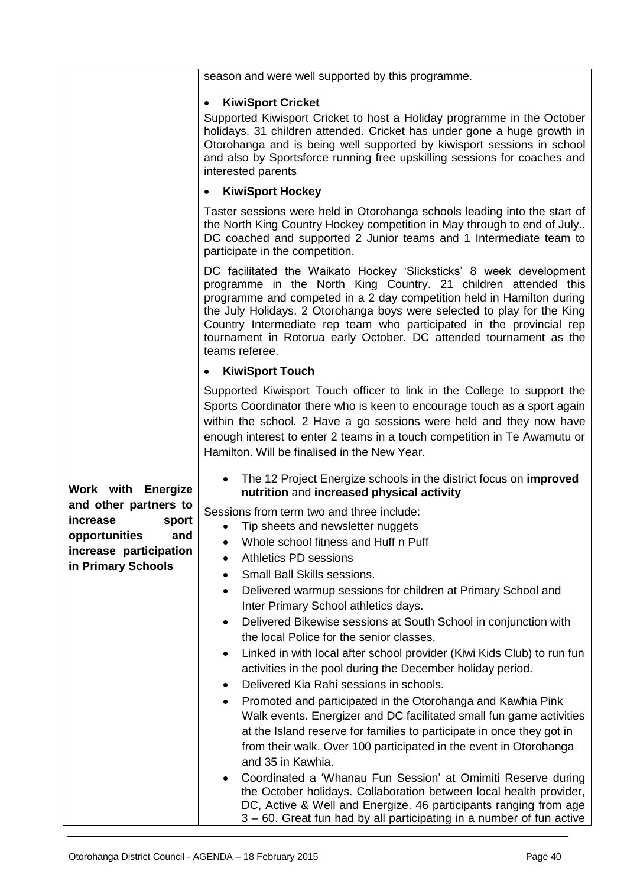|                                                                    | season and were well supported by this programme.                                                                                                                                                                                                                                                                                                                                                                                                        |
|--------------------------------------------------------------------|----------------------------------------------------------------------------------------------------------------------------------------------------------------------------------------------------------------------------------------------------------------------------------------------------------------------------------------------------------------------------------------------------------------------------------------------------------|
|                                                                    | <b>KiwiSport Cricket</b><br>$\bullet$<br>Supported Kiwisport Cricket to host a Holiday programme in the October<br>holidays. 31 children attended. Cricket has under gone a huge growth in<br>Otorohanga and is being well supported by kiwisport sessions in school<br>and also by Sportsforce running free upskilling sessions for coaches and<br>interested parents                                                                                   |
|                                                                    | <b>KiwiSport Hockey</b><br>٠                                                                                                                                                                                                                                                                                                                                                                                                                             |
|                                                                    | Taster sessions were held in Otorohanga schools leading into the start of<br>the North King Country Hockey competition in May through to end of July<br>DC coached and supported 2 Junior teams and 1 Intermediate team to<br>participate in the competition.                                                                                                                                                                                            |
|                                                                    | DC facilitated the Waikato Hockey 'Slicksticks' 8 week development<br>programme in the North King Country. 21 children attended this<br>programme and competed in a 2 day competition held in Hamilton during<br>the July Holidays. 2 Otorohanga boys were selected to play for the King<br>Country Intermediate rep team who participated in the provincial rep<br>tournament in Rotorua early October. DC attended tournament as the<br>teams referee. |
|                                                                    | <b>KiwiSport Touch</b><br>٠                                                                                                                                                                                                                                                                                                                                                                                                                              |
|                                                                    | Supported Kiwisport Touch officer to link in the College to support the<br>Sports Coordinator there who is keen to encourage touch as a sport again<br>within the school. 2 Have a go sessions were held and they now have<br>enough interest to enter 2 teams in a touch competition in Te Awamutu or<br>Hamilton. Will be finalised in the New Year.                                                                                                   |
| Work with Energize                                                 | The 12 Project Energize schools in the district focus on <b>improved</b><br>nutrition and increased physical activity                                                                                                                                                                                                                                                                                                                                    |
| and other partners to<br>increase<br>sport<br>opportunities<br>and | Sessions from term two and three include:<br>Tip sheets and newsletter nuggets<br>$\bullet$<br>Whole school fitness and Huff n Puff                                                                                                                                                                                                                                                                                                                      |
| increase participation                                             | Athletics PD sessions                                                                                                                                                                                                                                                                                                                                                                                                                                    |
| in Primary Schools                                                 | <b>Small Ball Skills sessions.</b>                                                                                                                                                                                                                                                                                                                                                                                                                       |
|                                                                    | Delivered warmup sessions for children at Primary School and<br>٠<br>Inter Primary School athletics days.                                                                                                                                                                                                                                                                                                                                                |
|                                                                    | Delivered Bikewise sessions at South School in conjunction with<br>the local Police for the senior classes.                                                                                                                                                                                                                                                                                                                                              |
|                                                                    | Linked in with local after school provider (Kiwi Kids Club) to run fun<br>activities in the pool during the December holiday period.                                                                                                                                                                                                                                                                                                                     |
|                                                                    | Delivered Kia Rahi sessions in schools.                                                                                                                                                                                                                                                                                                                                                                                                                  |
|                                                                    | Promoted and participated in the Otorohanga and Kawhia Pink<br>$\bullet$<br>Walk events. Energizer and DC facilitated small fun game activities<br>at the Island reserve for families to participate in once they got in<br>from their walk. Over 100 participated in the event in Otorohanga<br>and 35 in Kawhia.                                                                                                                                       |
|                                                                    | Coordinated a 'Whanau Fun Session' at Omimiti Reserve during<br>the October holidays. Collaboration between local health provider,<br>DC, Active & Well and Energize. 46 participants ranging from age<br>3 – 60. Great fun had by all participating in a number of fun active                                                                                                                                                                           |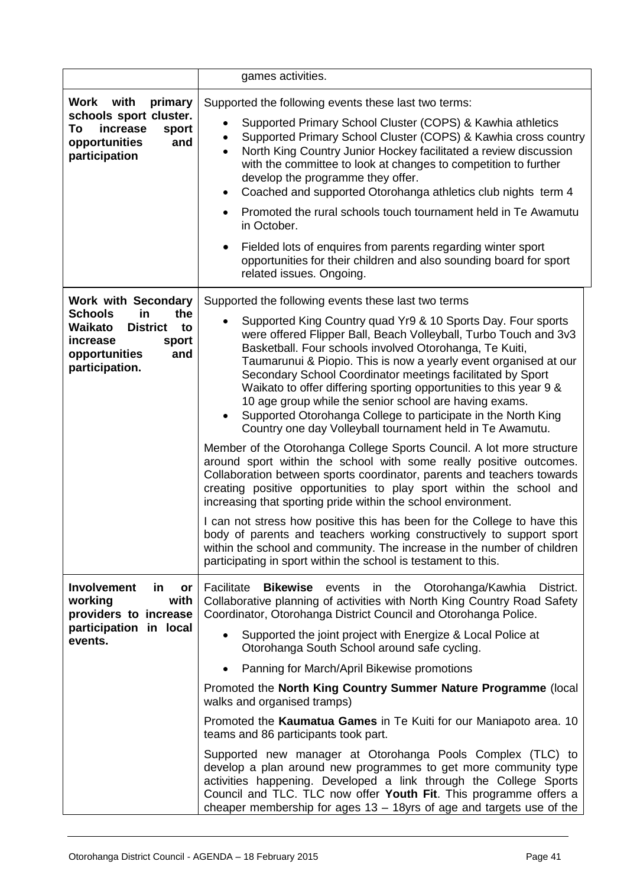|                                                                                                                                                              | games activities.                                                                                                                                                                                                                                                                                                                                                                                                                                                                                                                                                                                                                                                                                                                                                                                                                                                                                                                                                                                                                                                                                                                                                                                                                                                                                                    |
|--------------------------------------------------------------------------------------------------------------------------------------------------------------|----------------------------------------------------------------------------------------------------------------------------------------------------------------------------------------------------------------------------------------------------------------------------------------------------------------------------------------------------------------------------------------------------------------------------------------------------------------------------------------------------------------------------------------------------------------------------------------------------------------------------------------------------------------------------------------------------------------------------------------------------------------------------------------------------------------------------------------------------------------------------------------------------------------------------------------------------------------------------------------------------------------------------------------------------------------------------------------------------------------------------------------------------------------------------------------------------------------------------------------------------------------------------------------------------------------------|
| Work with<br>primary<br>schools sport cluster.<br>To<br>increase<br>sport<br>opportunities<br>and<br>participation                                           | Supported the following events these last two terms:<br>Supported Primary School Cluster (COPS) & Kawhia athletics<br>Supported Primary School Cluster (COPS) & Kawhia cross country<br>North King Country Junior Hockey facilitated a review discussion<br>with the committee to look at changes to competition to further<br>develop the programme they offer.<br>Coached and supported Otorohanga athletics club nights term 4<br>Promoted the rural schools touch tournament held in Te Awamutu<br>in October.<br>Fielded lots of enquires from parents regarding winter sport<br>opportunities for their children and also sounding board for sport<br>related issues. Ongoing.                                                                                                                                                                                                                                                                                                                                                                                                                                                                                                                                                                                                                                 |
| <b>Work with Secondary</b><br><b>Schools</b><br>the<br>in<br>Waikato<br><b>District</b><br>to<br>increase<br>sport<br>opportunities<br>and<br>participation. | Supported the following events these last two terms<br>Supported King Country quad Yr9 & 10 Sports Day. Four sports<br>were offered Flipper Ball, Beach Volleyball, Turbo Touch and 3v3<br>Basketball. Four schools involved Otorohanga, Te Kuiti,<br>Taumarunui & Piopio. This is now a yearly event organised at our<br>Secondary School Coordinator meetings facilitated by Sport<br>Waikato to offer differing sporting opportunities to this year 9 &<br>10 age group while the senior school are having exams.<br>Supported Otorohanga College to participate in the North King<br>Country one day Volleyball tournament held in Te Awamutu.<br>Member of the Otorohanga College Sports Council. A lot more structure<br>around sport within the school with some really positive outcomes.<br>Collaboration between sports coordinator, parents and teachers towards<br>creating positive opportunities to play sport within the school and<br>increasing that sporting pride within the school environment.<br>I can not stress how positive this has been for the College to have this<br>body of parents and teachers working constructively to support sport<br>within the school and community. The increase in the number of children<br>participating in sport within the school is testament to this. |
| <b>Involvement</b><br><u>in</u><br>or<br>working<br>with<br>providers to increase<br>participation in local<br>events.                                       | Facilitate<br><b>Bikewise</b> events in the Otorohanga/Kawhia<br>District.<br>Collaborative planning of activities with North King Country Road Safety<br>Coordinator, Otorohanga District Council and Otorohanga Police.<br>Supported the joint project with Energize & Local Police at<br>Otorohanga South School around safe cycling.<br>Panning for March/April Bikewise promotions<br>Promoted the North King Country Summer Nature Programme (local<br>walks and organised tramps)<br>Promoted the Kaumatua Games in Te Kuiti for our Maniapoto area. 10<br>teams and 86 participants took part.<br>Supported new manager at Otorohanga Pools Complex (TLC) to<br>develop a plan around new programmes to get more community type<br>activities happening. Developed a link through the College Sports<br>Council and TLC. TLC now offer Youth Fit. This programme offers a<br>cheaper membership for ages 13 – 18yrs of age and targets use of the                                                                                                                                                                                                                                                                                                                                                            |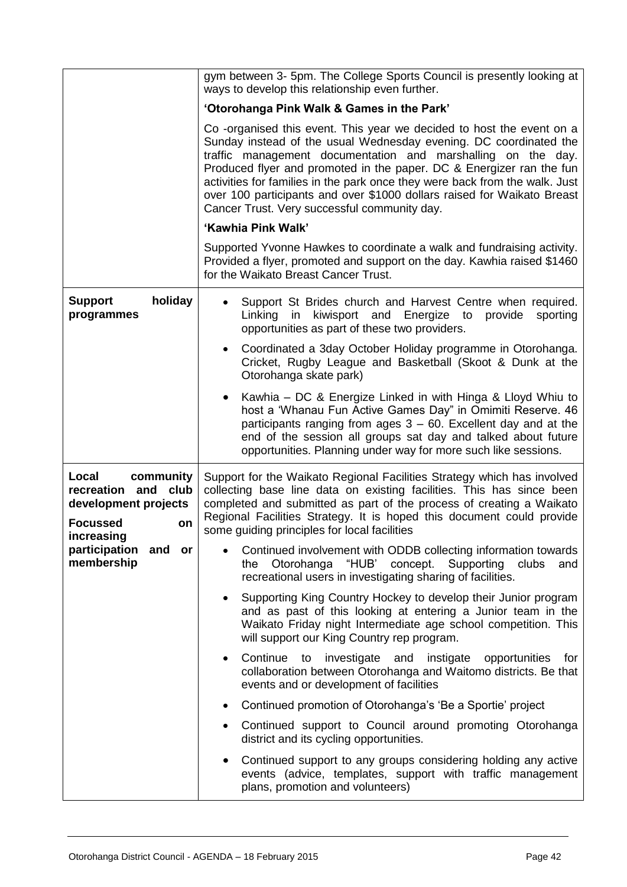|                                                                                                          | gym between 3- 5pm. The College Sports Council is presently looking at<br>ways to develop this relationship even further.                                                                                                                                                                                                                                                                                                                                                                    |
|----------------------------------------------------------------------------------------------------------|----------------------------------------------------------------------------------------------------------------------------------------------------------------------------------------------------------------------------------------------------------------------------------------------------------------------------------------------------------------------------------------------------------------------------------------------------------------------------------------------|
|                                                                                                          | 'Otorohanga Pink Walk & Games in the Park'                                                                                                                                                                                                                                                                                                                                                                                                                                                   |
|                                                                                                          | Co -organised this event. This year we decided to host the event on a<br>Sunday instead of the usual Wednesday evening. DC coordinated the<br>traffic management documentation and marshalling on the day.<br>Produced flyer and promoted in the paper. DC & Energizer ran the fun<br>activities for families in the park once they were back from the walk. Just<br>over 100 participants and over \$1000 dollars raised for Waikato Breast<br>Cancer Trust. Very successful community day. |
|                                                                                                          | 'Kawhia Pink Walk'                                                                                                                                                                                                                                                                                                                                                                                                                                                                           |
|                                                                                                          | Supported Yvonne Hawkes to coordinate a walk and fundraising activity.<br>Provided a flyer, promoted and support on the day. Kawhia raised \$1460<br>for the Waikato Breast Cancer Trust.                                                                                                                                                                                                                                                                                                    |
| holiday<br><b>Support</b><br>programmes                                                                  | Support St Brides church and Harvest Centre when required.<br>Linking<br>in kiwisport and Energize to<br>provide<br>sporting<br>opportunities as part of these two providers.                                                                                                                                                                                                                                                                                                                |
|                                                                                                          | Coordinated a 3day October Holiday programme in Otorohanga.<br>$\bullet$<br>Cricket, Rugby League and Basketball (Skoot & Dunk at the<br>Otorohanga skate park)                                                                                                                                                                                                                                                                                                                              |
|                                                                                                          | Kawhia - DC & Energize Linked in with Hinga & Lloyd Whiu to<br>$\bullet$<br>host a 'Whanau Fun Active Games Day" in Omimiti Reserve. 46<br>participants ranging from ages $3 - 60$ . Excellent day and at the<br>end of the session all groups sat day and talked about future<br>opportunities. Planning under way for more such like sessions.                                                                                                                                             |
| Local<br>community<br>recreation and club<br>development projects<br><b>Focussed</b><br>on<br>increasing | Support for the Waikato Regional Facilities Strategy which has involved<br>collecting base line data on existing facilities. This has since been<br>completed and submitted as part of the process of creating a Waikato<br>Regional Facilities Strategy. It is hoped this document could provide<br>some guiding principles for local facilities                                                                                                                                            |
| participation<br>and or<br>membership                                                                    | Continued involvement with ODDB collecting information towards<br>"HUB' concept. Supporting clubs<br>the Otorohanga<br>and<br>recreational users in investigating sharing of facilities.                                                                                                                                                                                                                                                                                                     |
|                                                                                                          | Supporting King Country Hockey to develop their Junior program<br>and as past of this looking at entering a Junior team in the<br>Waikato Friday night Intermediate age school competition. This<br>will support our King Country rep program.                                                                                                                                                                                                                                               |
|                                                                                                          | Continue to<br>investigate and instigate<br>opportunities<br>for<br>$\bullet$<br>collaboration between Otorohanga and Waitomo districts. Be that<br>events and or development of facilities                                                                                                                                                                                                                                                                                                  |
|                                                                                                          | Continued promotion of Otorohanga's 'Be a Sportie' project<br>$\bullet$                                                                                                                                                                                                                                                                                                                                                                                                                      |
|                                                                                                          | Continued support to Council around promoting Otorohanga<br>district and its cycling opportunities.                                                                                                                                                                                                                                                                                                                                                                                          |
|                                                                                                          | Continued support to any groups considering holding any active<br>٠<br>events (advice, templates, support with traffic management<br>plans, promotion and volunteers)                                                                                                                                                                                                                                                                                                                        |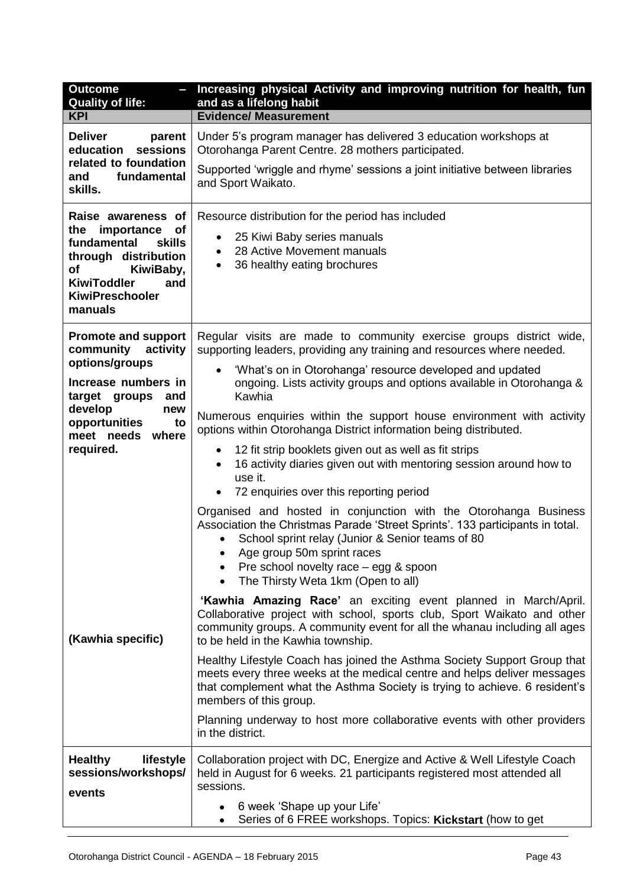| <b>Outcome</b><br><b>Quality of life:</b>                                                                                                                                                         | Increasing physical Activity and improving nutrition for health, fun<br>and as a lifelong habit                                                                                                                                                                                                                                                                                                                                                                                                                                                                                                                                                                                                                                                                                                                                                                                                 |
|---------------------------------------------------------------------------------------------------------------------------------------------------------------------------------------------------|-------------------------------------------------------------------------------------------------------------------------------------------------------------------------------------------------------------------------------------------------------------------------------------------------------------------------------------------------------------------------------------------------------------------------------------------------------------------------------------------------------------------------------------------------------------------------------------------------------------------------------------------------------------------------------------------------------------------------------------------------------------------------------------------------------------------------------------------------------------------------------------------------|
| <b>KPI</b>                                                                                                                                                                                        | <b>Evidence/ Measurement</b>                                                                                                                                                                                                                                                                                                                                                                                                                                                                                                                                                                                                                                                                                                                                                                                                                                                                    |
| <b>Deliver</b><br>parent<br>sessions<br>education<br>related to foundation<br>fundamental<br>and<br>skills.                                                                                       | Under 5's program manager has delivered 3 education workshops at<br>Otorohanga Parent Centre. 28 mothers participated.<br>Supported 'wriggle and rhyme' sessions a joint initiative between libraries<br>and Sport Waikato.                                                                                                                                                                                                                                                                                                                                                                                                                                                                                                                                                                                                                                                                     |
| Raise awareness of<br>the importance<br><b>of</b><br>fundamental<br>skills<br>through distribution<br><b>of</b><br>KiwiBaby,<br><b>KiwiToddler</b><br>and<br><b>KiwiPreschooler</b><br>manuals    | Resource distribution for the period has included<br>25 Kiwi Baby series manuals<br>$\bullet$<br>28 Active Movement manuals<br>$\bullet$<br>36 healthy eating brochures<br>$\bullet$                                                                                                                                                                                                                                                                                                                                                                                                                                                                                                                                                                                                                                                                                                            |
| <b>Promote and support</b><br>community<br>activity<br>options/groups<br>Increase numbers in<br>target groups<br>and<br>develop<br>new<br>opportunities<br>to<br>meet needs<br>where<br>required. | Regular visits are made to community exercise groups district wide,<br>supporting leaders, providing any training and resources where needed.<br>'What's on in Otorohanga' resource developed and updated<br>ongoing. Lists activity groups and options available in Otorohanga &<br>Kawhia<br>Numerous enquiries within the support house environment with activity<br>options within Otorohanga District information being distributed.<br>12 fit strip booklets given out as well as fit strips<br>$\bullet$<br>16 activity diaries given out with mentoring session around how to<br>$\bullet$<br>use it.<br>72 enquiries over this reporting period<br>Organised and hosted in conjunction with the Otorohanga Business<br>Association the Christmas Parade 'Street Sprints'. 133 participants in total.<br>School sprint relay (Junior & Senior teams of 80<br>Age group 50m sprint races |
| (Kawhia specific)<br><b>Healthy</b><br>lifestyle                                                                                                                                                  | Pre school novelty race - egg & spoon<br>The Thirsty Weta 1km (Open to all)<br>'Kawhia Amazing Race' an exciting event planned in March/April.<br>Collaborative project with school, sports club, Sport Waikato and other<br>community groups. A community event for all the whanau including all ages<br>to be held in the Kawhia township.<br>Healthy Lifestyle Coach has joined the Asthma Society Support Group that<br>meets every three weeks at the medical centre and helps deliver messages<br>that complement what the Asthma Society is trying to achieve. 6 resident's<br>members of this group.<br>Planning underway to host more collaborative events with other providers<br>in the district.<br>Collaboration project with DC, Energize and Active & Well Lifestyle Coach                                                                                                       |
| sessions/workshops/<br>events                                                                                                                                                                     | held in August for 6 weeks. 21 participants registered most attended all<br>sessions.<br>6 week 'Shape up your Life'<br>Series of 6 FREE workshops. Topics: Kickstart (how to get                                                                                                                                                                                                                                                                                                                                                                                                                                                                                                                                                                                                                                                                                                               |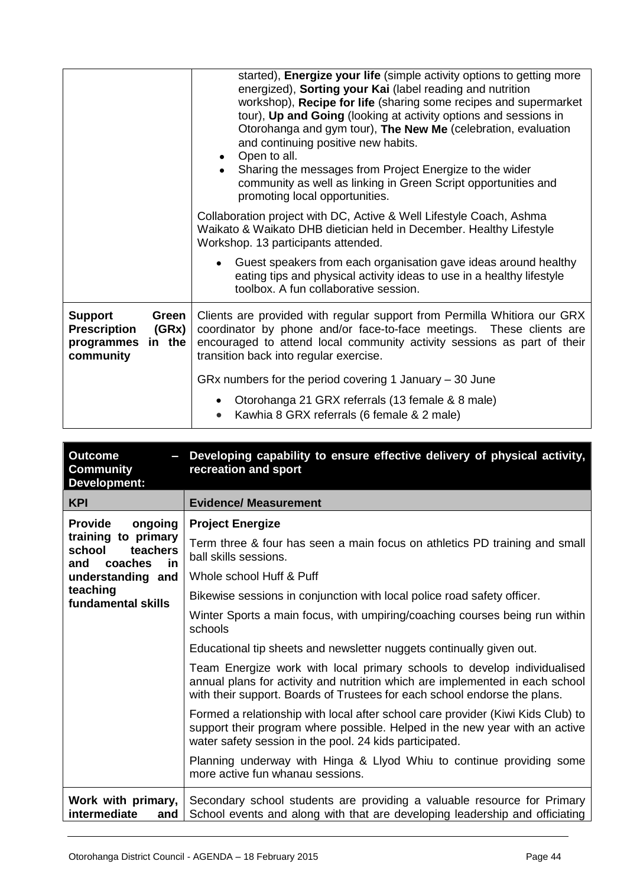|                                                                                              | started), Energize your life (simple activity options to getting more<br>energized), Sorting your Kai (label reading and nutrition<br>workshop), Recipe for life (sharing some recipes and supermarket<br>tour), Up and Going (looking at activity options and sessions in<br>Otorohanga and gym tour), The New Me (celebration, evaluation<br>and continuing positive new habits.<br>Open to all.<br>Sharing the messages from Project Energize to the wider<br>community as well as linking in Green Script opportunities and<br>promoting local opportunities. |
|----------------------------------------------------------------------------------------------|-------------------------------------------------------------------------------------------------------------------------------------------------------------------------------------------------------------------------------------------------------------------------------------------------------------------------------------------------------------------------------------------------------------------------------------------------------------------------------------------------------------------------------------------------------------------|
|                                                                                              | Collaboration project with DC, Active & Well Lifestyle Coach, Ashma<br>Waikato & Waikato DHB dietician held in December. Healthy Lifestyle<br>Workshop. 13 participants attended.                                                                                                                                                                                                                                                                                                                                                                                 |
|                                                                                              | Guest speakers from each organisation gave ideas around healthy<br>eating tips and physical activity ideas to use in a healthy lifestyle<br>toolbox. A fun collaborative session.                                                                                                                                                                                                                                                                                                                                                                                 |
| <b>Support</b><br>Green<br><b>Prescription</b><br>(GRx)<br>in the<br>programmes<br>community | Clients are provided with regular support from Permilla Whitiora our GRX<br>coordinator by phone and/or face-to-face meetings. These clients are<br>encouraged to attend local community activity sessions as part of their<br>transition back into regular exercise.                                                                                                                                                                                                                                                                                             |
|                                                                                              | GRx numbers for the period covering 1 January $-30$ June<br>Otorohanga 21 GRX referrals (13 female & 8 male)<br>Kawhia 8 GRX referrals (6 female & 2 male)<br>$\bullet$                                                                                                                                                                                                                                                                                                                                                                                           |

| <b>Outcome</b><br>$\overline{\phantom{0}}$<br><b>Community</b><br><b>Development:</b> | Developing capability to ensure effective delivery of physical activity,<br>recreation and sport                                                                                                                                     |
|---------------------------------------------------------------------------------------|--------------------------------------------------------------------------------------------------------------------------------------------------------------------------------------------------------------------------------------|
| <b>KPI</b>                                                                            | <b>Evidence/ Measurement</b>                                                                                                                                                                                                         |
| ongoing<br><b>Provide</b>                                                             | <b>Project Energize</b>                                                                                                                                                                                                              |
| training to primary<br>school<br>teachers<br>coaches<br>and<br><u>in</u>              | Term three & four has seen a main focus on athletics PD training and small<br>ball skills sessions.                                                                                                                                  |
| understanding and                                                                     | Whole school Huff & Puff                                                                                                                                                                                                             |
| teaching<br>fundamental skills                                                        | Bikewise sessions in conjunction with local police road safety officer.                                                                                                                                                              |
|                                                                                       | Winter Sports a main focus, with umpiring/coaching courses being run within<br>schools                                                                                                                                               |
|                                                                                       | Educational tip sheets and newsletter nuggets continually given out.                                                                                                                                                                 |
|                                                                                       | Team Energize work with local primary schools to develop individualised<br>annual plans for activity and nutrition which are implemented in each school<br>with their support. Boards of Trustees for each school endorse the plans. |
|                                                                                       | Formed a relationship with local after school care provider (Kiwi Kids Club) to<br>support their program where possible. Helped in the new year with an active<br>water safety session in the pool. 24 kids participated.            |
|                                                                                       | Planning underway with Hinga & Llyod Whiu to continue providing some<br>more active fun whanau sessions.                                                                                                                             |
| Work with primary,<br>intermediate<br>and                                             | Secondary school students are providing a valuable resource for Primary<br>School events and along with that are developing leadership and officiating                                                                               |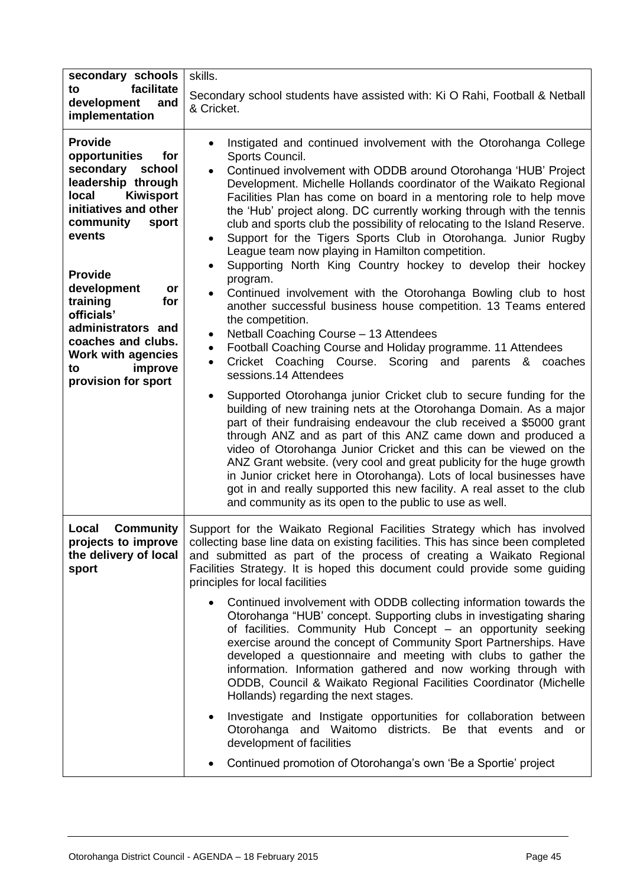| secondary schools                                                                                                                                                                                                                                                                                                                                               | skills.                                                                                                                                                                                                                                                                                                                                                                                                                                                                                                                                                                                                                                                                                                                                                                                                                                                                                                                                                                                                                                                                                                                                                                                                                               |  |
|-----------------------------------------------------------------------------------------------------------------------------------------------------------------------------------------------------------------------------------------------------------------------------------------------------------------------------------------------------------------|---------------------------------------------------------------------------------------------------------------------------------------------------------------------------------------------------------------------------------------------------------------------------------------------------------------------------------------------------------------------------------------------------------------------------------------------------------------------------------------------------------------------------------------------------------------------------------------------------------------------------------------------------------------------------------------------------------------------------------------------------------------------------------------------------------------------------------------------------------------------------------------------------------------------------------------------------------------------------------------------------------------------------------------------------------------------------------------------------------------------------------------------------------------------------------------------------------------------------------------|--|
| facilitate<br>to<br>development<br>and<br>implementation                                                                                                                                                                                                                                                                                                        | Secondary school students have assisted with: Ki O Rahi, Football & Netball<br>& Cricket.                                                                                                                                                                                                                                                                                                                                                                                                                                                                                                                                                                                                                                                                                                                                                                                                                                                                                                                                                                                                                                                                                                                                             |  |
| <b>Provide</b><br>opportunities<br>for<br>secondary school<br>leadership through<br><b>Kiwisport</b><br>local<br>initiatives and other<br>community<br>sport<br>events<br><b>Provide</b><br>development<br>or<br>training<br>for<br>officials'<br>administrators and<br>coaches and clubs.<br><b>Work with agencies</b><br>improve<br>to<br>provision for sport | Instigated and continued involvement with the Otorohanga College<br>Sports Council.<br>Continued involvement with ODDB around Otorohanga 'HUB' Project<br>Development. Michelle Hollands coordinator of the Waikato Regional<br>Facilities Plan has come on board in a mentoring role to help move<br>the 'Hub' project along. DC currently working through with the tennis<br>club and sports club the possibility of relocating to the Island Reserve.<br>Support for the Tigers Sports Club in Otorohanga. Junior Rugby<br>League team now playing in Hamilton competition.<br>Supporting North King Country hockey to develop their hockey<br>$\bullet$<br>program.<br>Continued involvement with the Otorohanga Bowling club to host<br>$\bullet$<br>another successful business house competition. 13 Teams entered<br>the competition.<br>Netball Coaching Course - 13 Attendees<br>٠<br>Football Coaching Course and Holiday programme. 11 Attendees<br>$\bullet$<br>Cricket Coaching Course. Scoring and<br>parents & coaches<br>$\bullet$<br>sessions.14 Attendees<br>Supported Otorohanga junior Cricket club to secure funding for the<br>$\bullet$<br>building of new training nets at the Otorohanga Domain. As a major |  |
|                                                                                                                                                                                                                                                                                                                                                                 | part of their fundraising endeavour the club received a \$5000 grant<br>through ANZ and as part of this ANZ came down and produced a<br>video of Otorohanga Junior Cricket and this can be viewed on the<br>ANZ Grant website. (very cool and great publicity for the huge growth<br>in Junior cricket here in Otorohanga). Lots of local businesses have<br>got in and really supported this new facility. A real asset to the club<br>and community as its open to the public to use as well.                                                                                                                                                                                                                                                                                                                                                                                                                                                                                                                                                                                                                                                                                                                                       |  |
| <b>Community</b><br>Local<br>projects to improve<br>the delivery of local<br>sport                                                                                                                                                                                                                                                                              | Support for the Waikato Regional Facilities Strategy which has involved<br>collecting base line data on existing facilities. This has since been completed<br>and submitted as part of the process of creating a Waikato Regional<br>Facilities Strategy. It is hoped this document could provide some guiding<br>principles for local facilities                                                                                                                                                                                                                                                                                                                                                                                                                                                                                                                                                                                                                                                                                                                                                                                                                                                                                     |  |
|                                                                                                                                                                                                                                                                                                                                                                 | Continued involvement with ODDB collecting information towards the<br>Otorohanga "HUB' concept. Supporting clubs in investigating sharing<br>of facilities. Community Hub Concept - an opportunity seeking<br>exercise around the concept of Community Sport Partnerships. Have<br>developed a questionnaire and meeting with clubs to gather the<br>information. Information gathered and now working through with<br>ODDB, Council & Waikato Regional Facilities Coordinator (Michelle<br>Hollands) regarding the next stages.                                                                                                                                                                                                                                                                                                                                                                                                                                                                                                                                                                                                                                                                                                      |  |
|                                                                                                                                                                                                                                                                                                                                                                 | Investigate and Instigate opportunities for collaboration between<br>$\bullet$<br>Otorohanga and Waitomo districts. Be that events and or<br>development of facilities                                                                                                                                                                                                                                                                                                                                                                                                                                                                                                                                                                                                                                                                                                                                                                                                                                                                                                                                                                                                                                                                |  |
|                                                                                                                                                                                                                                                                                                                                                                 | Continued promotion of Otorohanga's own 'Be a Sportie' project                                                                                                                                                                                                                                                                                                                                                                                                                                                                                                                                                                                                                                                                                                                                                                                                                                                                                                                                                                                                                                                                                                                                                                        |  |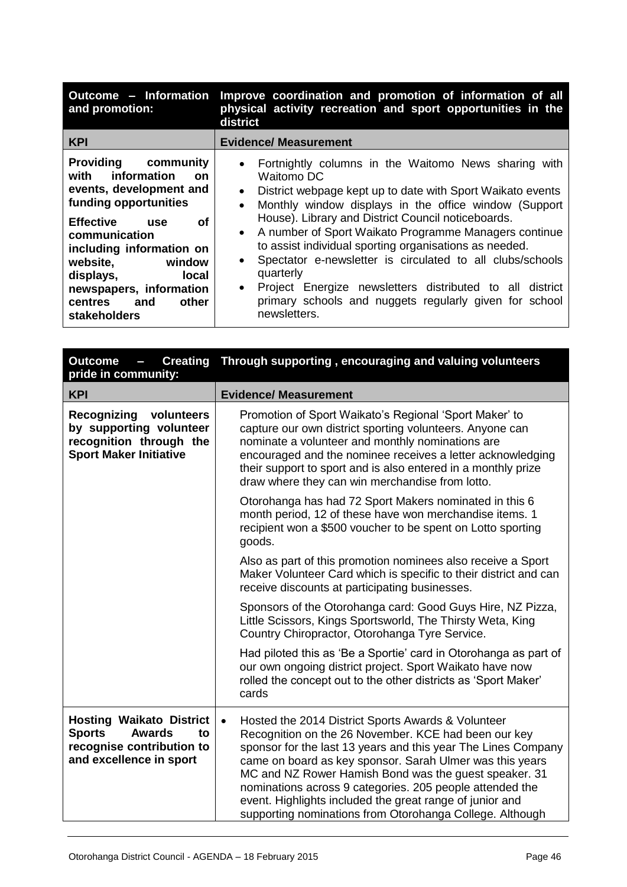| Outcome - Information<br>and promotion:                                                                                                                                                                                                                                                                                       | Improve coordination and promotion of information of all<br>physical activity recreation and sport opportunities in the<br>district                                                                                                                                                                                                                                                                                                                                                                                                                                                                                                                              |
|-------------------------------------------------------------------------------------------------------------------------------------------------------------------------------------------------------------------------------------------------------------------------------------------------------------------------------|------------------------------------------------------------------------------------------------------------------------------------------------------------------------------------------------------------------------------------------------------------------------------------------------------------------------------------------------------------------------------------------------------------------------------------------------------------------------------------------------------------------------------------------------------------------------------------------------------------------------------------------------------------------|
| <b>KPI</b>                                                                                                                                                                                                                                                                                                                    | <b>Evidence/ Measurement</b>                                                                                                                                                                                                                                                                                                                                                                                                                                                                                                                                                                                                                                     |
| <b>Providing community</b><br>with information<br><b>on</b><br>events, development and<br>funding opportunities<br><b>Effective</b><br>οf<br>use<br>communication<br>including information on<br>website,<br>window<br><b>local</b><br>displays,<br>newspapers, information<br>other<br><b>centres</b><br>and<br>stakeholders | Fortnightly columns in the Waitomo News sharing with<br>$\bullet$<br>Waitomo DC<br>District webpage kept up to date with Sport Waikato events<br>$\bullet$<br>Monthly window displays in the office window (Support<br>$\bullet$<br>House). Library and District Council noticeboards.<br>A number of Sport Waikato Programme Managers continue<br>$\bullet$<br>to assist individual sporting organisations as needed.<br>Spectator e-newsletter is circulated to all clubs/schools<br>$\bullet$<br>quarterly<br>Project Energize newsletters distributed to all district<br>$\bullet$<br>primary schools and nuggets regularly given for school<br>newsletters. |

| <b>Creating</b><br><b>Outcome</b><br>$\overline{\phantom{a}}$<br>pride in community:                                            | Through supporting, encouraging and valuing volunteers                                                                                                                                                                                                                                                                                                                                                                                                                                            |
|---------------------------------------------------------------------------------------------------------------------------------|---------------------------------------------------------------------------------------------------------------------------------------------------------------------------------------------------------------------------------------------------------------------------------------------------------------------------------------------------------------------------------------------------------------------------------------------------------------------------------------------------|
| <b>KPI</b>                                                                                                                      | <b>Evidence/ Measurement</b>                                                                                                                                                                                                                                                                                                                                                                                                                                                                      |
| Recognizing<br>volunteers<br>by supporting volunteer<br>recognition through the<br><b>Sport Maker Initiative</b>                | Promotion of Sport Waikato's Regional 'Sport Maker' to<br>capture our own district sporting volunteers. Anyone can<br>nominate a volunteer and monthly nominations are<br>encouraged and the nominee receives a letter acknowledging<br>their support to sport and is also entered in a monthly prize<br>draw where they can win merchandise from lotto.                                                                                                                                          |
|                                                                                                                                 | Otorohanga has had 72 Sport Makers nominated in this 6<br>month period, 12 of these have won merchandise items. 1<br>recipient won a \$500 voucher to be spent on Lotto sporting<br>goods.                                                                                                                                                                                                                                                                                                        |
|                                                                                                                                 | Also as part of this promotion nominees also receive a Sport<br>Maker Volunteer Card which is specific to their district and can<br>receive discounts at participating businesses.                                                                                                                                                                                                                                                                                                                |
|                                                                                                                                 | Sponsors of the Otorohanga card: Good Guys Hire, NZ Pizza,<br>Little Scissors, Kings Sportsworld, The Thirsty Weta, King<br>Country Chiropractor, Otorohanga Tyre Service.                                                                                                                                                                                                                                                                                                                        |
|                                                                                                                                 | Had piloted this as 'Be a Sportie' card in Otorohanga as part of<br>our own ongoing district project. Sport Waikato have now<br>rolled the concept out to the other districts as 'Sport Maker'<br>cards                                                                                                                                                                                                                                                                                           |
| <b>Hosting Waikato District</b><br><b>Sports</b><br><b>Awards</b><br>to<br>recognise contribution to<br>and excellence in sport | Hosted the 2014 District Sports Awards & Volunteer<br>$\bullet$<br>Recognition on the 26 November. KCE had been our key<br>sponsor for the last 13 years and this year The Lines Company<br>came on board as key sponsor. Sarah Ulmer was this years<br>MC and NZ Rower Hamish Bond was the guest speaker. 31<br>nominations across 9 categories. 205 people attended the<br>event. Highlights included the great range of junior and<br>supporting nominations from Otorohanga College. Although |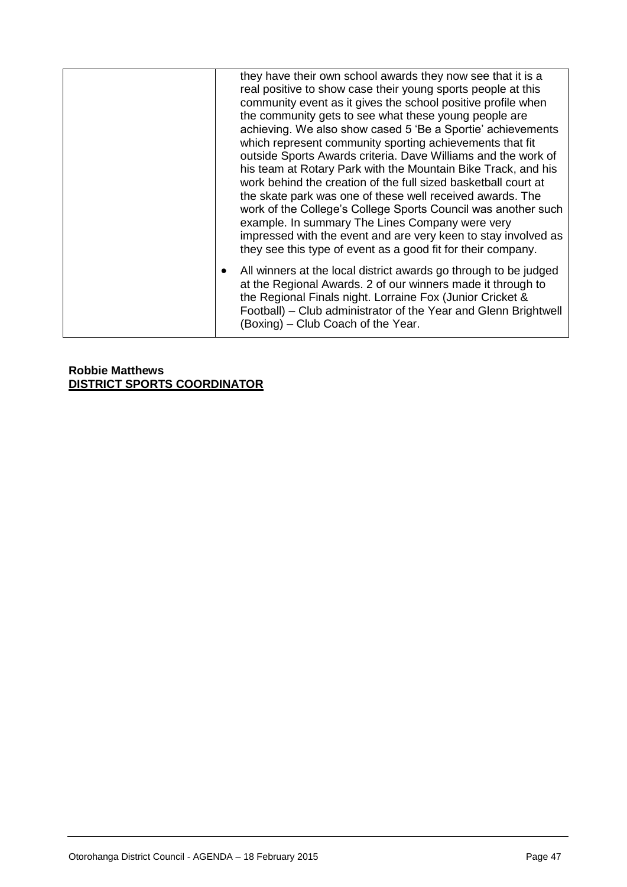| they have their own school awards they now see that it is a<br>real positive to show case their young sports people at this<br>community event as it gives the school positive profile when<br>the community gets to see what these young people are<br>achieving. We also show cased 5 'Be a Sportie' achievements<br>which represent community sporting achievements that fit<br>outside Sports Awards criteria. Dave Williams and the work of<br>his team at Rotary Park with the Mountain Bike Track, and his<br>work behind the creation of the full sized basketball court at<br>the skate park was one of these well received awards. The<br>work of the College's College Sports Council was another such<br>example. In summary The Lines Company were very<br>impressed with the event and are very keen to stay involved as<br>they see this type of event as a good fit for their company. |
|--------------------------------------------------------------------------------------------------------------------------------------------------------------------------------------------------------------------------------------------------------------------------------------------------------------------------------------------------------------------------------------------------------------------------------------------------------------------------------------------------------------------------------------------------------------------------------------------------------------------------------------------------------------------------------------------------------------------------------------------------------------------------------------------------------------------------------------------------------------------------------------------------------|
| All winners at the local district awards go through to be judged<br>at the Regional Awards. 2 of our winners made it through to<br>the Regional Finals night. Lorraine Fox (Junior Cricket &<br>Football) – Club administrator of the Year and Glenn Brightwell<br>(Boxing) – Club Coach of the Year.                                                                                                                                                                                                                                                                                                                                                                                                                                                                                                                                                                                                  |

**Robbie Matthews DISTRICT SPORTS COORDINATOR**